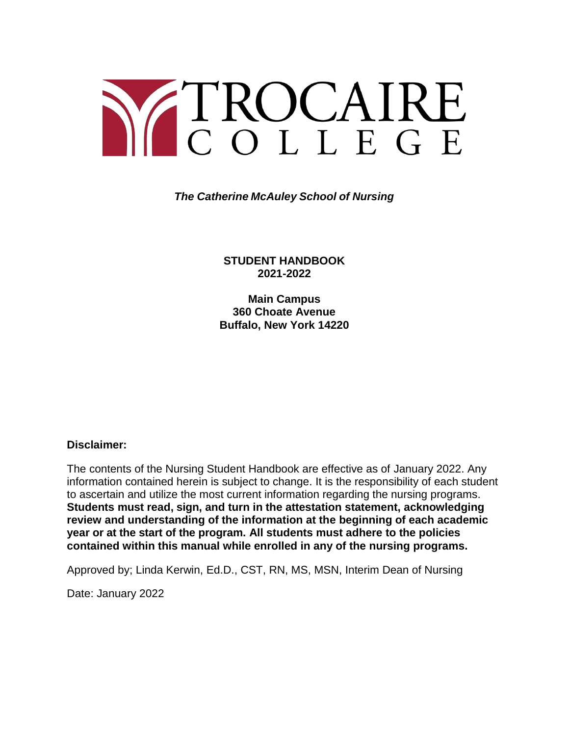# Y TROCAIRE

*The Catherine McAuley School of Nursing*

**STUDENT HANDBOOK 2021-2022**

**Main Campus 360 Choate Avenue Buffalo, New York 14220**

#### **Disclaimer:**

The contents of the Nursing Student Handbook are effective as of January 2022. Any information contained herein is subject to change. It is the responsibility of each student to ascertain and utilize the most current information regarding the nursing programs. **Students must read, sign, and turn in the attestation statement, acknowledging review and understanding of the information at the beginning of each academic year or at the start of the program. All students must adhere to the policies contained within this manual while enrolled in any of the nursing programs.**

Approved by; Linda Kerwin, Ed.D., CST, RN, MS, MSN, Interim Dean of Nursing

Date: January 2022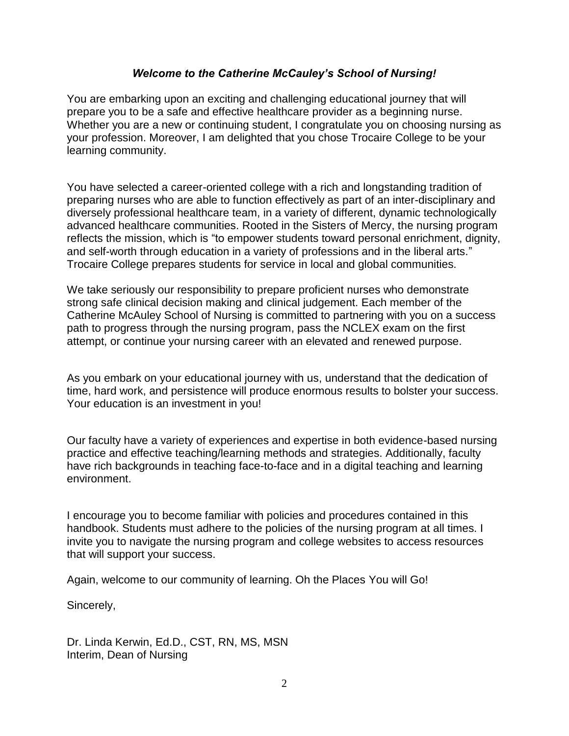#### *Welcome to the Catherine McCauley's School of Nursing!*

You are embarking upon an exciting and challenging educational journey that will prepare you to be a safe and effective healthcare provider as a beginning nurse. Whether you are a new or continuing student, I congratulate you on choosing nursing as your profession. Moreover, I am delighted that you chose Trocaire College to be your learning community.

You have selected a career-oriented college with a rich and longstanding tradition of preparing nurses who are able to function effectively as part of an inter-disciplinary and diversely professional healthcare team, in a variety of different, dynamic technologically advanced healthcare communities. Rooted in the Sisters of Mercy, the nursing program reflects the mission, which is "to empower students toward personal enrichment, dignity, and self-worth through education in a variety of professions and in the liberal arts." Trocaire College prepares students for service in local and global communities.

We take seriously our responsibility to prepare proficient nurses who demonstrate strong safe clinical decision making and clinical judgement. Each member of the Catherine McAuley School of Nursing is committed to partnering with you on a success path to progress through the nursing program, pass the NCLEX exam on the first attempt, or continue your nursing career with an elevated and renewed purpose.

As you embark on your educational journey with us, understand that the dedication of time, hard work, and persistence will produce enormous results to bolster your success. Your education is an investment in you!

Our faculty have a variety of experiences and expertise in both evidence-based nursing practice and effective teaching/learning methods and strategies. Additionally, faculty have rich backgrounds in teaching face-to-face and in a digital teaching and learning environment.

I encourage you to become familiar with policies and procedures contained in this handbook. Students must adhere to the policies of the nursing program at all times. I invite you to navigate the nursing program and college websites to access resources that will support your success.

Again, welcome to our community of learning. Oh the Places You will Go!

Sincerely,

Dr. Linda Kerwin, Ed.D., CST, RN, MS, MSN Interim, Dean of Nursing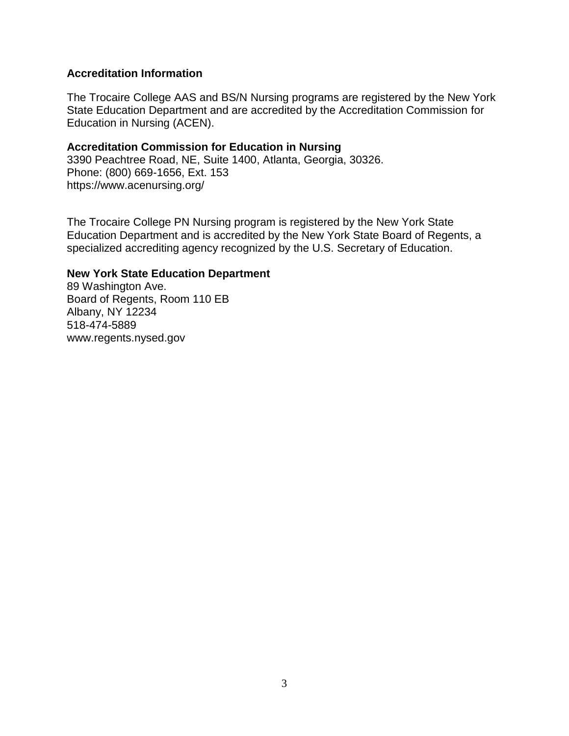#### **Accreditation Information**

The Trocaire College AAS and BS/N Nursing programs are registered by the New York State Education Department and are accredited by the Accreditation Commission for Education in Nursing (ACEN).

#### **Accreditation Commission for Education in Nursing**

3390 Peachtree Road, NE, Suite 1400, Atlanta, Georgia, 30326. Phone: (800) 669-1656, Ext. 153 https://www.acenursing.org/

The Trocaire College PN Nursing program is registered by the New York State Education Department and is accredited by the New York State Board of Regents, a specialized accrediting agency recognized by the U.S. Secretary of Education.

#### **New York State Education Department**

89 Washington Ave. Board of Regents, Room 110 EB Albany, NY 12234 518-474-5889 www.regents.nysed.gov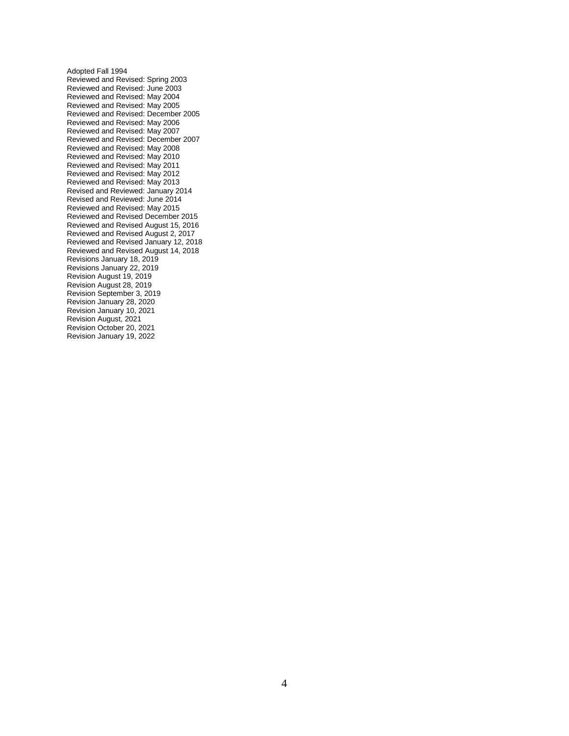Adopted Fall 1994 Reviewed and Revised: Spring 2003 Reviewed and Revised: June 2003 Reviewed and Revised: May 2004 Reviewed and Revised: May 2005 Reviewed and Revised: December 2005 Reviewed and Revised: May 2006 Reviewed and Revised: May 2007 Reviewed and Revised: December 2007 Reviewed and Revised: May 2008 Reviewed and Revised: May 2010 Reviewed and Revised: May 2011 Reviewed and Revised: May 2012 Reviewed and Revised: May 2013 Revised and Reviewed: January 2014 Revised and Reviewed: June 2014 Reviewed and Revised: May 2015 Reviewed and Revised December 2015 Reviewed and Revised August 15, 2016 Reviewed and Revised August 2, 2017 Reviewed and Revised January 12, 2018 Reviewed and Revised August 14, 2018 Revisions January 18, 2019 Revisions January 22, 2019 Revision August 19, 2019 Revision August 28, 2019 Revision September 3, 2019 Revision January 28, 2020 Revision January 10, 2021 Revision August, 2021 Revision October 20, 2021 Revision January 19, 2022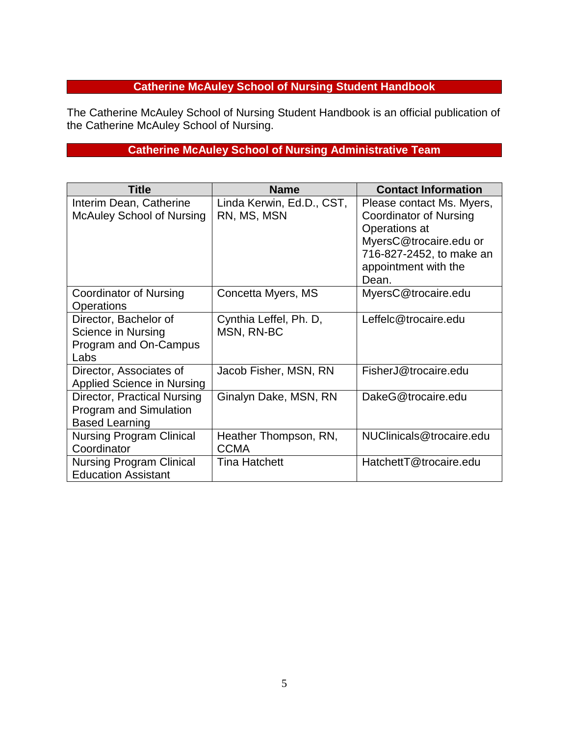# **Catherine McAuley School of Nursing Student Handbook**

The Catherine McAuley School of Nursing Student Handbook is an official publication of the Catherine McAuley School of Nursing.

# **Catherine McAuley School of Nursing Administrative Team**

| <b>Title</b>                                                                          | <b>Name</b>                              | <b>Contact Information</b>                                                                                                                                  |
|---------------------------------------------------------------------------------------|------------------------------------------|-------------------------------------------------------------------------------------------------------------------------------------------------------------|
| Interim Dean, Catherine<br><b>McAuley School of Nursing</b>                           | Linda Kerwin, Ed.D., CST,<br>RN, MS, MSN | Please contact Ms. Myers,<br>Coordinator of Nursing<br>Operations at<br>MyersC@trocaire.edu or<br>716-827-2452, to make an<br>appointment with the<br>Dean. |
| Coordinator of Nursing<br><b>Operations</b>                                           | Concetta Myers, MS                       | MyersC@trocaire.edu                                                                                                                                         |
| Director, Bachelor of<br>Science in Nursing<br>Program and On-Campus<br>Labs          | Cynthia Leffel, Ph. D,<br>MSN, RN-BC     | Leffelc@trocaire.edu                                                                                                                                        |
| Director, Associates of<br>Applied Science in Nursing                                 | Jacob Fisher, MSN, RN                    | FisherJ@trocaire.edu                                                                                                                                        |
| Director, Practical Nursing<br><b>Program and Simulation</b><br><b>Based Learning</b> | Ginalyn Dake, MSN, RN                    | DakeG@trocaire.edu                                                                                                                                          |
| <b>Nursing Program Clinical</b><br>Coordinator                                        | Heather Thompson, RN,<br><b>CCMA</b>     | NUClinicals@trocaire.edu                                                                                                                                    |
| <b>Nursing Program Clinical</b><br><b>Education Assistant</b>                         | Tina Hatchett                            | HatchettT@trocaire.edu                                                                                                                                      |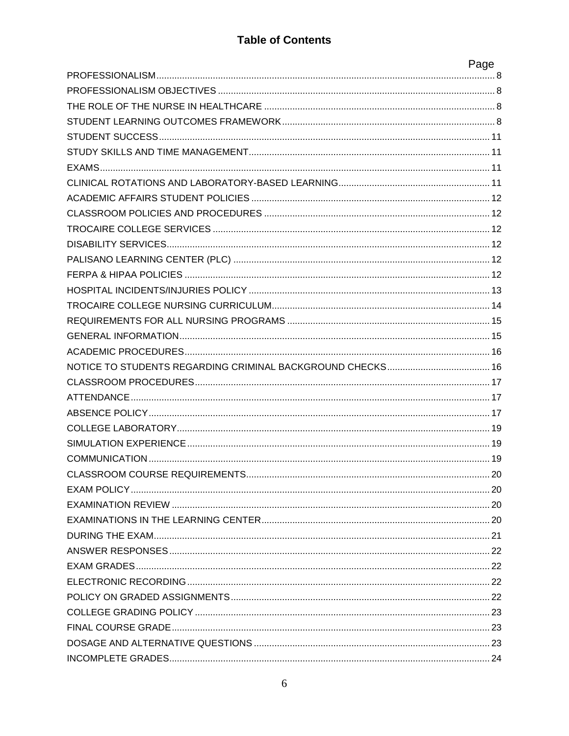# **Table of Contents**

| Page |
|------|
|      |
|      |
|      |
|      |
|      |
|      |
|      |
|      |
|      |
|      |
|      |
|      |
|      |
|      |
|      |
|      |
|      |
|      |
|      |
|      |
|      |
|      |
|      |
|      |
|      |
|      |
|      |
|      |
|      |
|      |
|      |
|      |
|      |
|      |
|      |
|      |
|      |
|      |
|      |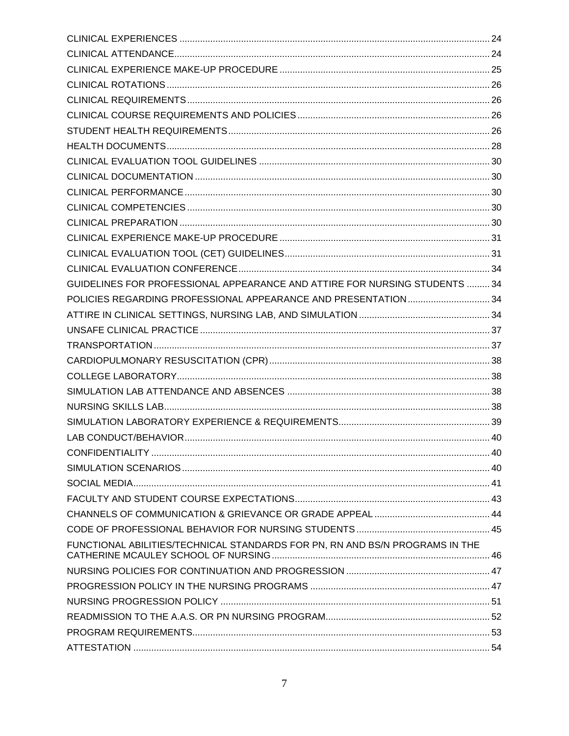| GUIDELINES FOR PROFESSIONAL APPEARANCE AND ATTIRE FOR NURSING STUDENTS  34   |  |
|------------------------------------------------------------------------------|--|
| POLICIES REGARDING PROFESSIONAL APPEARANCE AND PRESENTATION 34               |  |
|                                                                              |  |
|                                                                              |  |
|                                                                              |  |
|                                                                              |  |
|                                                                              |  |
|                                                                              |  |
|                                                                              |  |
|                                                                              |  |
|                                                                              |  |
|                                                                              |  |
|                                                                              |  |
|                                                                              |  |
|                                                                              |  |
|                                                                              |  |
|                                                                              |  |
| FUNCTIONAL ABILITIES/TECHNICAL STANDARDS FOR PN, RN AND BS/N PROGRAMS IN THE |  |
|                                                                              |  |
|                                                                              |  |
|                                                                              |  |
|                                                                              |  |
|                                                                              |  |
|                                                                              |  |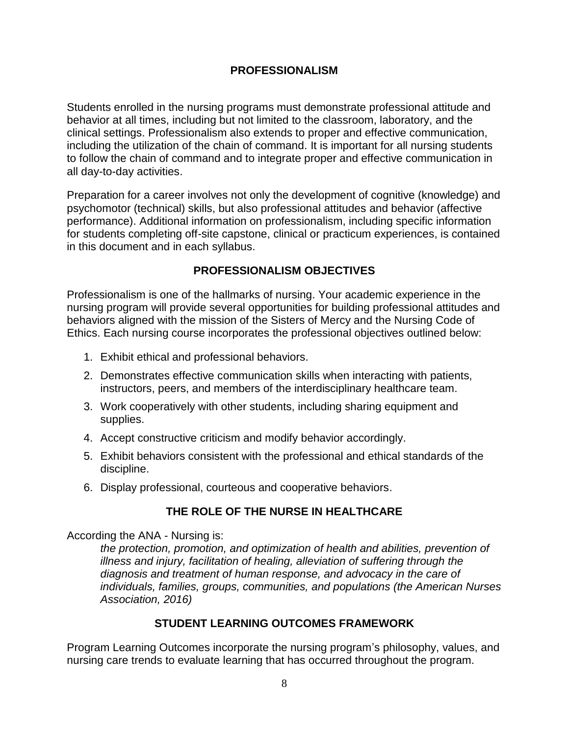## **PROFESSIONALISM**

<span id="page-7-0"></span>Students enrolled in the nursing programs must demonstrate professional attitude and behavior at all times, including but not limited to the classroom, laboratory, and the clinical settings. Professionalism also extends to proper and effective communication, including the utilization of the chain of command. It is important for all nursing students to follow the chain of command and to integrate proper and effective communication in all day-to-day activities.

Preparation for a career involves not only the development of cognitive (knowledge) and psychomotor (technical) skills, but also professional attitudes and behavior (affective performance). Additional information on professionalism, including specific information for students completing off-site capstone, clinical or practicum experiences, is contained in this document and in each syllabus.

## **PROFESSIONALISM OBJECTIVES**

<span id="page-7-1"></span>Professionalism is one of the hallmarks of nursing. Your academic experience in the nursing program will provide several opportunities for building professional attitudes and behaviors aligned with the mission of the Sisters of Mercy and the Nursing Code of Ethics. Each nursing course incorporates the professional objectives outlined below:

- 1. Exhibit ethical and professional behaviors.
- 2. Demonstrates effective communication skills when interacting with patients, instructors, peers, and members of the interdisciplinary healthcare team.
- 3. Work cooperatively with other students, including sharing equipment and supplies.
- 4. Accept constructive criticism and modify behavior accordingly.
- 5. Exhibit behaviors consistent with the professional and ethical standards of the discipline.
- <span id="page-7-2"></span>6. Display professional, courteous and cooperative behaviors.

# **THE ROLE OF THE NURSE IN HEALTHCARE**

According the ANA - Nursing is:

*the protection, promotion, and optimization of health and abilities, prevention of illness and injury, facilitation of healing, alleviation of suffering through the diagnosis and treatment of human response, and advocacy in the care of individuals, families, groups, communities, and populations (the American Nurses Association, 2016)*

## **STUDENT LEARNING OUTCOMES FRAMEWORK**

<span id="page-7-3"></span>Program Learning Outcomes incorporate the nursing program's philosophy, values, and nursing care trends to evaluate learning that has occurred throughout the program.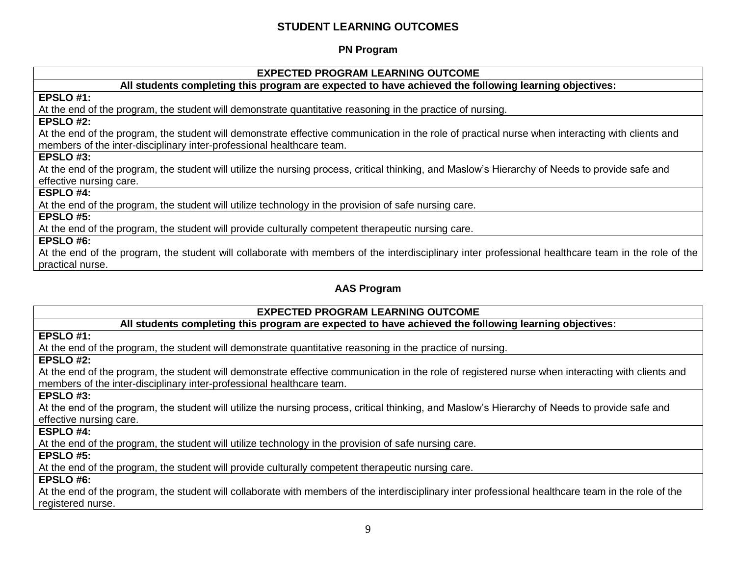## **STUDENT LEARNING OUTCOMES**

#### **PN Program**

#### **EXPECTED PROGRAM LEARNING OUTCOME**

#### **All students completing this program are expected to have achieved the following learning objectives:**

#### **EPSLO #1:**

At the end of the program, the student will demonstrate quantitative reasoning in the practice of nursing.

#### **EPSLO #2:**

At the end of the program, the student will demonstrate effective communication in the role of practical nurse when interacting with clients and members of the inter-disciplinary inter-professional healthcare team.

#### **EPSLO #3:**

At the end of the program, the student will utilize the nursing process, critical thinking, and Maslow's Hierarchy of Needs to provide safe and effective nursing care.

#### **ESPLO #4:**

At the end of the program, the student will utilize technology in the provision of safe nursing care.

#### **EPSLO #5:**

At the end of the program, the student will provide culturally competent therapeutic nursing care.

#### **EPSLO #6:**

At the end of the program, the student will collaborate with members of the interdisciplinary inter professional healthcare team in the role of the practical nurse.

#### **AAS Program**

#### **EXPECTED PROGRAM LEARNING OUTCOME**

#### **All students completing this program are expected to have achieved the following learning objectives:**

#### **EPSLO #1:**

At the end of the program, the student will demonstrate quantitative reasoning in the practice of nursing.

#### **EPSLO #2:**

At the end of the program, the student will demonstrate effective communication in the role of registered nurse when interacting with clients and members of the inter-disciplinary inter-professional healthcare team.

#### **EPSLO #3:**

At the end of the program, the student will utilize the nursing process, critical thinking, and Maslow's Hierarchy of Needs to provide safe and effective nursing care.

#### **ESPLO #4:**

At the end of the program, the student will utilize technology in the provision of safe nursing care.

#### **EPSLO #5:**

At the end of the program, the student will provide culturally competent therapeutic nursing care.

#### **EPSLO #6:**

At the end of the program, the student will collaborate with members of the interdisciplinary inter professional healthcare team in the role of the registered nurse.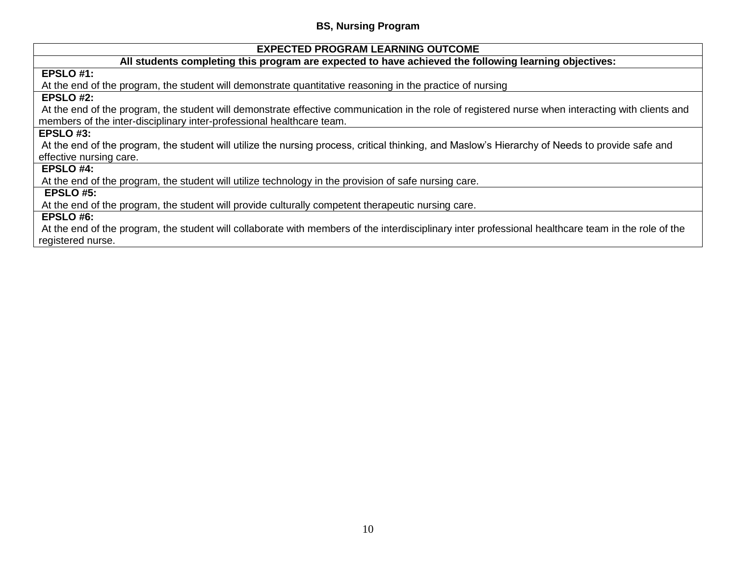#### **BS, Nursing Program**

#### **EXPECTED PROGRAM LEARNING OUTCOME**

#### **All students completing this program are expected to have achieved the following learning objectives:**

## **EPSLO #1:**

At the end of the program, the student will demonstrate quantitative reasoning in the practice of nursing

## **EPSLO #2:**

At the end of the program, the student will demonstrate effective communication in the role of registered nurse when interacting with clients and members of the inter-disciplinary inter-professional healthcare team.

#### **EPSLO #3:**

At the end of the program, the student will utilize the nursing process, critical thinking, and Maslow's Hierarchy of Needs to provide safe and effective nursing care.

#### **EPSLO #4:**

At the end of the program, the student will utilize technology in the provision of safe nursing care.

#### **EPSLO #5:**

At the end of the program, the student will provide culturally competent therapeutic nursing care.

#### **EPSLO #6:**

At the end of the program, the student will collaborate with members of the interdisciplinary inter professional healthcare team in the role of the registered nurse.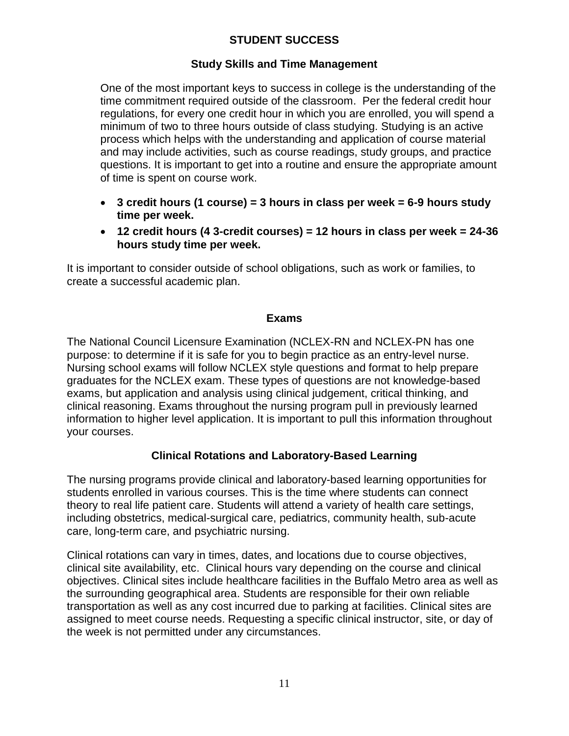# **STUDENT SUCCESS**

#### **Study Skills and Time Management**

<span id="page-10-1"></span><span id="page-10-0"></span>One of the most important keys to success in college is the understanding of the time commitment required outside of the classroom. Per the federal credit hour regulations, for every one credit hour in which you are enrolled, you will spend a minimum of two to three hours outside of class studying. Studying is an active process which helps with the understanding and application of course material and may include activities, such as course readings, study groups, and practice questions. It is important to get into a routine and ensure the appropriate amount of time is spent on course work.

- **3 credit hours (1 course) = 3 hours in class per week = 6-9 hours study time per week.**
- **12 credit hours (4 3-credit courses) = 12 hours in class per week = 24-36 hours study time per week.**

It is important to consider outside of school obligations, such as work or families, to create a successful academic plan.

#### **Exams**

<span id="page-10-2"></span>The National Council Licensure Examination (NCLEX-RN and NCLEX-PN has one purpose: to determine if it is safe for you to begin practice as an entry-level nurse. Nursing school exams will follow NCLEX style questions and format to help prepare graduates for the NCLEX exam. These types of questions are not knowledge-based exams, but application and analysis using clinical judgement, critical thinking, and clinical reasoning. Exams throughout the nursing program pull in previously learned information to higher level application. It is important to pull this information throughout your courses.

## **Clinical Rotations and Laboratory-Based Learning**

<span id="page-10-3"></span>The nursing programs provide clinical and laboratory-based learning opportunities for students enrolled in various courses. This is the time where students can connect theory to real life patient care. Students will attend a variety of health care settings, including obstetrics, medical-surgical care, pediatrics, community health, sub-acute care, long-term care, and psychiatric nursing.

Clinical rotations can vary in times, dates, and locations due to course objectives, clinical site availability, etc. Clinical hours vary depending on the course and clinical objectives. Clinical sites include healthcare facilities in the Buffalo Metro area as well as the surrounding geographical area. Students are responsible for their own reliable transportation as well as any cost incurred due to parking at facilities. Clinical sites are assigned to meet course needs. Requesting a specific clinical instructor, site, or day of the week is not permitted under any circumstances.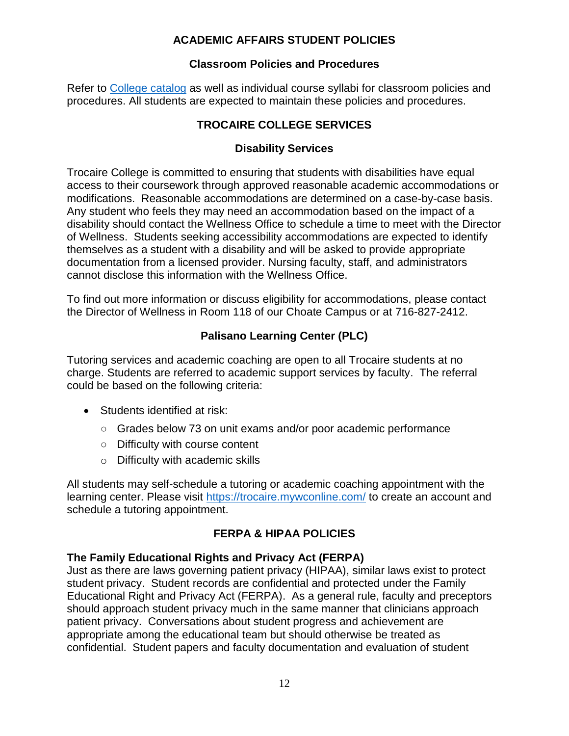# **ACADEMIC AFFAIRS STUDENT POLICIES**

#### **Classroom Policies and Procedures**

<span id="page-11-2"></span><span id="page-11-1"></span><span id="page-11-0"></span>Refer to [College catalog](https://trocaire.edu/academics/wp-content/uploads/sites/2/2021/09/2021-2022-Trocaire-College-Catalog-1.pdf) as well as individual course syllabi for classroom policies and procedures. All students are expected to maintain these policies and procedures.

# **TROCAIRE COLLEGE SERVICES**

## **Disability Services**

<span id="page-11-3"></span>Trocaire College is committed to ensuring that students with disabilities have equal access to their coursework through approved reasonable academic accommodations or modifications. Reasonable accommodations are determined on a case-by-case basis. Any student who feels they may need an accommodation based on the impact of a disability should contact the Wellness Office to schedule a time to meet with the Director of Wellness. Students seeking accessibility accommodations are expected to identify themselves as a student with a disability and will be asked to provide appropriate documentation from a licensed provider. Nursing faculty, staff, and administrators cannot disclose this information with the Wellness Office.

To find out more information or discuss eligibility for accommodations, please contact the Director of Wellness in Room 118 of our Choate Campus or at 716-827-2412.

# **Palisano Learning Center (PLC)**

<span id="page-11-4"></span>Tutoring services and academic coaching are open to all Trocaire students at no charge. Students are referred to academic support services by faculty. The referral could be based on the following criteria:

- Students identified at risk:
	- Grades below 73 on unit exams and/or poor academic performance
	- Difficulty with course content
	- o Difficulty with academic skills

All students may self-schedule a tutoring or academic coaching appointment with the learning center. Please visit<https://trocaire.mywconline.com/> to create an account and schedule a tutoring appointment.

## **FERPA & HIPAA POLICIES**

## <span id="page-11-5"></span>**The Family Educational Rights and Privacy Act (FERPA)**

Just as there are laws governing patient privacy (HIPAA), similar laws exist to protect student privacy. Student records are confidential and protected under the Family Educational Right and Privacy Act (FERPA). As a general rule, faculty and preceptors should approach student privacy much in the same manner that clinicians approach patient privacy. Conversations about student progress and achievement are appropriate among the educational team but should otherwise be treated as confidential. Student papers and faculty documentation and evaluation of student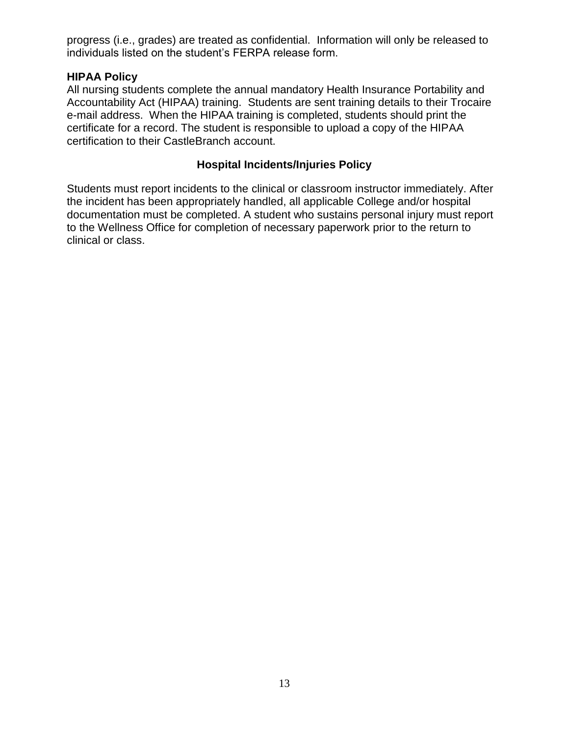progress (i.e., grades) are treated as confidential. Information will only be released to individuals listed on the student's FERPA release form.

#### **HIPAA Policy**

All nursing students complete the annual mandatory Health Insurance Portability and Accountability Act (HIPAA) training. Students are sent training details to their Trocaire e-mail address. When the HIPAA training is completed, students should print the certificate for a record. The student is responsible to upload a copy of the HIPAA certification to their CastleBranch account.

#### **Hospital Incidents/Injuries Policy**

<span id="page-12-0"></span>Students must report incidents to the clinical or classroom instructor immediately. After the incident has been appropriately handled, all applicable College and/or hospital documentation must be completed. A student who sustains personal injury must report to the Wellness Office for completion of necessary paperwork prior to the return to clinical or class.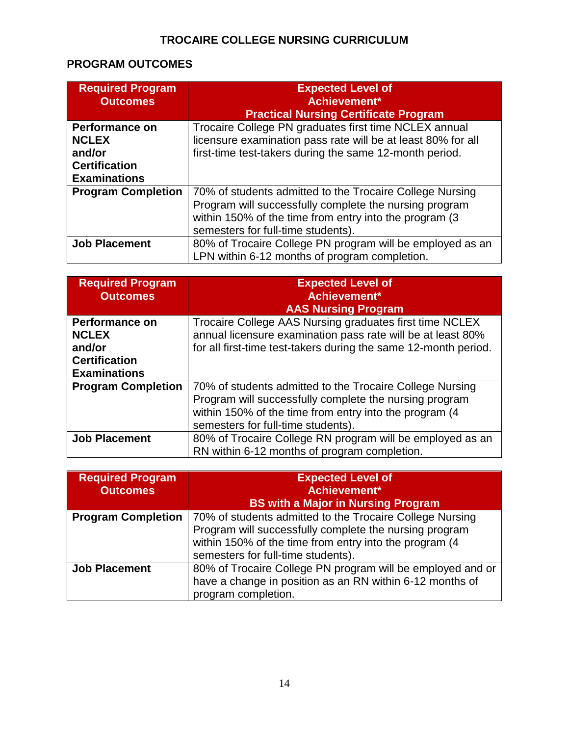# **TROCAIRE COLLEGE NURSING CURRICULUM**

# <span id="page-13-0"></span>**PROGRAM OUTCOMES**

| <b>Required Program</b><br><b>Outcomes</b> | <b>Expected Level of</b><br>Achievement*                                                                                                                                                                           |
|--------------------------------------------|--------------------------------------------------------------------------------------------------------------------------------------------------------------------------------------------------------------------|
|                                            | <b>Practical Nursing Certificate Program</b>                                                                                                                                                                       |
| <b>Performance on</b>                      | Trocaire College PN graduates first time NCLEX annual                                                                                                                                                              |
| <b>NCLEX</b>                               | licensure examination pass rate will be at least 80% for all                                                                                                                                                       |
| and/or                                     | first-time test-takers during the same 12-month period.                                                                                                                                                            |
| <b>Certification</b>                       |                                                                                                                                                                                                                    |
| <b>Examinations</b>                        |                                                                                                                                                                                                                    |
| <b>Program Completion</b>                  | 70% of students admitted to the Trocaire College Nursing<br>Program will successfully complete the nursing program<br>within 150% of the time from entry into the program (3<br>semesters for full-time students). |
| <b>Job Placement</b>                       | 80% of Trocaire College PN program will be employed as an<br>LPN within 6-12 months of program completion.                                                                                                         |

| <b>Required Program</b>   | <b>Expected Level of</b>                                        |
|---------------------------|-----------------------------------------------------------------|
| <b>Outcomes</b>           | Achievement*                                                    |
|                           | <b>AAS Nursing Program</b>                                      |
| <b>Performance on</b>     | Trocaire College AAS Nursing graduates first time NCLEX         |
| <b>NCLEX</b>              | annual licensure examination pass rate will be at least 80%     |
| and/or                    | for all first-time test-takers during the same 12-month period. |
| <b>Certification</b>      |                                                                 |
| <b>Examinations</b>       |                                                                 |
| <b>Program Completion</b> | 70% of students admitted to the Trocaire College Nursing        |
|                           | Program will successfully complete the nursing program          |
|                           | within 150% of the time from entry into the program (4          |
|                           | semesters for full-time students).                              |
| <b>Job Placement</b>      | 80% of Trocaire College RN program will be employed as an       |
|                           | RN within 6-12 months of program completion.                    |

| <b>Required Program</b><br><b>Outcomes</b> | <b>Expected Level of</b><br>Achievement*<br><b>BS with a Major in Nursing Program</b>                                                                                                                              |
|--------------------------------------------|--------------------------------------------------------------------------------------------------------------------------------------------------------------------------------------------------------------------|
| <b>Program Completion</b>                  | 70% of students admitted to the Trocaire College Nursing<br>Program will successfully complete the nursing program<br>within 150% of the time from entry into the program (4<br>semesters for full-time students). |
| <b>Job Placement</b>                       | 80% of Trocaire College PN program will be employed and or<br>have a change in position as an RN within 6-12 months of<br>program completion.                                                                      |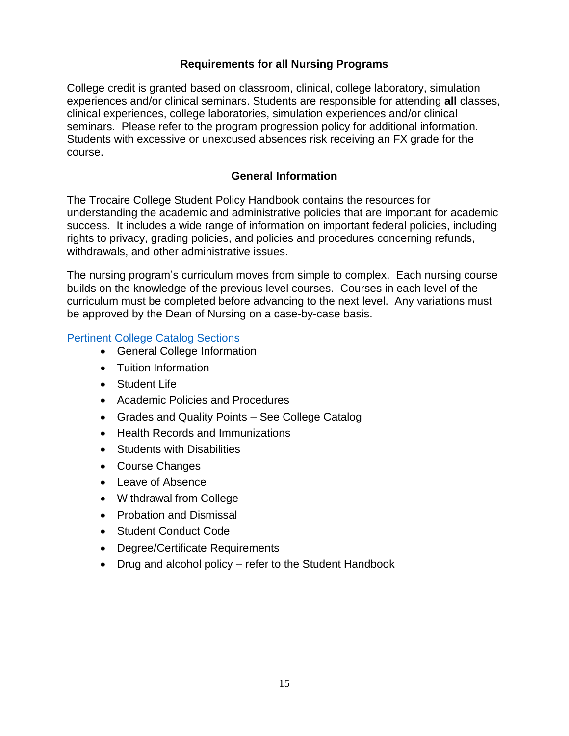## **Requirements for all Nursing Programs**

<span id="page-14-0"></span>College credit is granted based on classroom, clinical, college laboratory, simulation experiences and/or clinical seminars. Students are responsible for attending **all** classes, clinical experiences, college laboratories, simulation experiences and/or clinical seminars. Please refer to the program progression policy for additional information. Students with excessive or unexcused absences risk receiving an FX grade for the course.

#### **General Information**

<span id="page-14-1"></span>The Trocaire College Student Policy Handbook contains the resources for understanding the academic and administrative policies that are important for academic success. It includes a wide range of information on important federal policies, including rights to privacy, grading policies, and policies and procedures concerning refunds, withdrawals, and other administrative issues.

The nursing program's curriculum moves from simple to complex. Each nursing course builds on the knowledge of the previous level courses. Courses in each level of the curriculum must be completed before advancing to the next level. Any variations must be approved by the Dean of Nursing on a case-by-case basis.

#### [Pertinent College Catalog Sections](https://my.trocaire.edu/college-catalog/)

- General College Information
- Tuition Information
- Student Life
- Academic Policies and Procedures
- Grades and Quality Points See College Catalog
- Health Records and Immunizations
- **•** Students with Disabilities
- Course Changes
- Leave of Absence
- Withdrawal from College
- Probation and Dismissal
- Student Conduct Code
- Degree/Certificate Requirements
- Drug and alcohol policy refer to the Student Handbook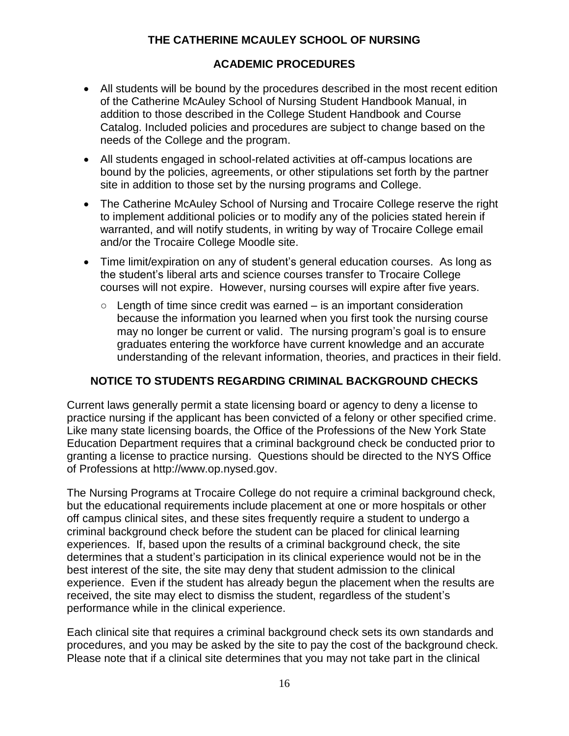# **THE CATHERINE MCAULEY SCHOOL OF NURSING**

#### <span id="page-15-0"></span>**ACADEMIC PROCEDURES**

- All students will be bound by the procedures described in the most recent edition of the Catherine McAuley School of Nursing Student Handbook Manual, in addition to those described in the College Student Handbook and Course Catalog. Included policies and procedures are subject to change based on the needs of the College and the program.
- All students engaged in school-related activities at off-campus locations are bound by the policies, agreements, or other stipulations set forth by the partner site in addition to those set by the nursing programs and College.
- The Catherine McAuley School of Nursing and Trocaire College reserve the right to implement additional policies or to modify any of the policies stated herein if warranted, and will notify students, in writing by way of Trocaire College email and/or the Trocaire College Moodle site.
- Time limit/expiration on any of student's general education courses. As long as the student's liberal arts and science courses transfer to Trocaire College courses will not expire. However, nursing courses will expire after five years.
	- $\circ$  Length of time since credit was earned  $-$  is an important consideration because the information you learned when you first took the nursing course may no longer be current or valid. The nursing program's goal is to ensure graduates entering the workforce have current knowledge and an accurate understanding of the relevant information, theories, and practices in their field.

## <span id="page-15-1"></span>**NOTICE TO STUDENTS REGARDING CRIMINAL BACKGROUND CHECKS**

Current laws generally permit a state licensing board or agency to deny a license to practice nursing if the applicant has been convicted of a felony or other specified crime. Like many state licensing boards, the Office of the Professions of the New York State Education Department requires that a criminal background check be conducted prior to granting a license to practice nursing. Questions should be directed to the NYS Office of Professions at http://www.op.nysed.gov.

The Nursing Programs at Trocaire College do not require a criminal background check, but the educational requirements include placement at one or more hospitals or other off campus clinical sites, and these sites frequently require a student to undergo a criminal background check before the student can be placed for clinical learning experiences. If, based upon the results of a criminal background check, the site determines that a student's participation in its clinical experience would not be in the best interest of the site, the site may deny that student admission to the clinical experience. Even if the student has already begun the placement when the results are received, the site may elect to dismiss the student, regardless of the student's performance while in the clinical experience.

Each clinical site that requires a criminal background check sets its own standards and procedures, and you may be asked by the site to pay the cost of the background check. Please note that if a clinical site determines that you may not take part in the clinical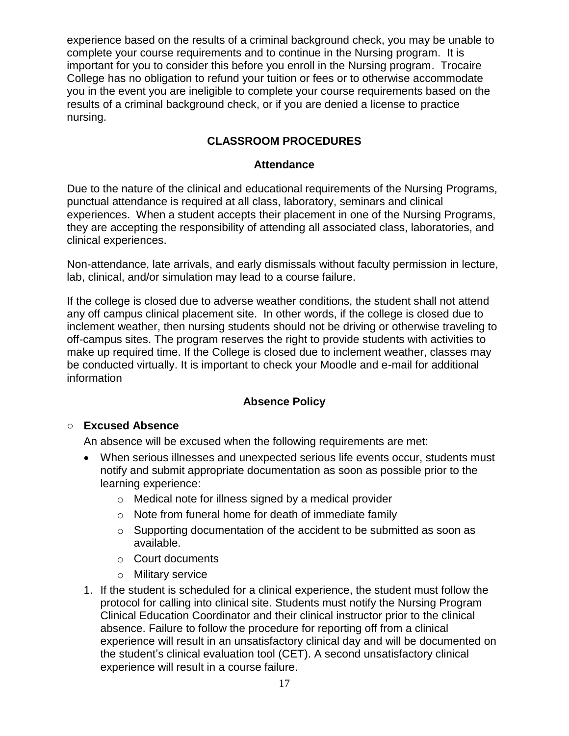experience based on the results of a criminal background check, you may be unable to complete your course requirements and to continue in the Nursing program. It is important for you to consider this before you enroll in the Nursing program. Trocaire College has no obligation to refund your tuition or fees or to otherwise accommodate you in the event you are ineligible to complete your course requirements based on the results of a criminal background check, or if you are denied a license to practice nursing.

# **CLASSROOM PROCEDURES**

#### **Attendance**

<span id="page-16-1"></span><span id="page-16-0"></span>Due to the nature of the clinical and educational requirements of the Nursing Programs, punctual attendance is required at all class, laboratory, seminars and clinical experiences. When a student accepts their placement in one of the Nursing Programs, they are accepting the responsibility of attending all associated class, laboratories, and clinical experiences.

Non-attendance, late arrivals, and early dismissals without faculty permission in lecture, lab, clinical, and/or simulation may lead to a course failure.

If the college is closed due to adverse weather conditions, the student shall not attend any off campus clinical placement site. In other words, if the college is closed due to inclement weather, then nursing students should not be driving or otherwise traveling to off-campus sites. The program reserves the right to provide students with activities to make up required time. If the College is closed due to inclement weather, classes may be conducted virtually. It is important to check your Moodle and e-mail for additional information

## **Absence Policy**

#### <span id="page-16-2"></span>○ **Excused Absence**

An absence will be excused when the following requirements are met:

- When serious illnesses and unexpected serious life events occur, students must notify and submit appropriate documentation as soon as possible prior to the learning experience:
	- o Medical note for illness signed by a medical provider
	- o Note from funeral home for death of immediate family
	- o Supporting documentation of the accident to be submitted as soon as available.
	- o Court documents
	- o Military service
- 1. If the student is scheduled for a clinical experience, the student must follow the protocol for calling into clinical site. Students must notify the Nursing Program Clinical Education Coordinator and their clinical instructor prior to the clinical absence. Failure to follow the procedure for reporting off from a clinical experience will result in an unsatisfactory clinical day and will be documented on the student's clinical evaluation tool (CET). A second unsatisfactory clinical experience will result in a course failure.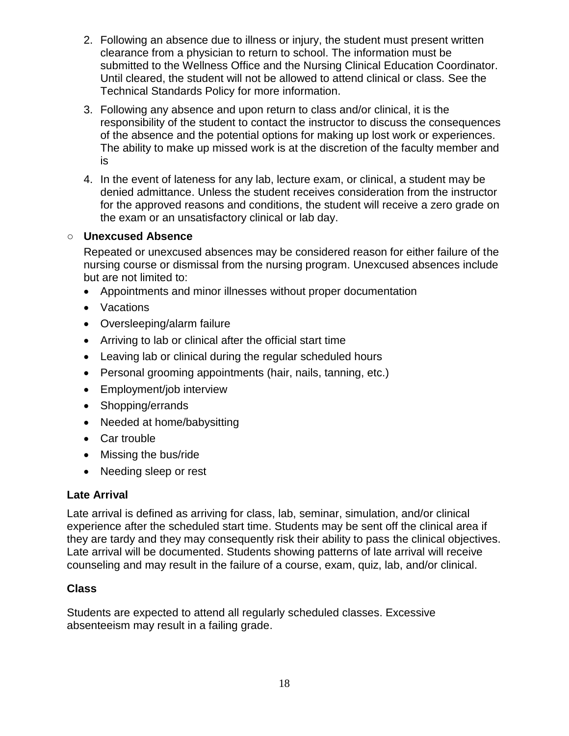- 2. Following an absence due to illness or injury, the student must present written clearance from a physician to return to school. The information must be submitted to the Wellness Office and the Nursing Clinical Education Coordinator. Until cleared, the student will not be allowed to attend clinical or class. See the Technical Standards Policy for more information.
- 3. Following any absence and upon return to class and/or clinical, it is the responsibility of the student to contact the instructor to discuss the consequences of the absence and the potential options for making up lost work or experiences. The ability to make up missed work is at the discretion of the faculty member and is
- 4. In the event of lateness for any lab, lecture exam, or clinical, a student may be denied admittance. Unless the student receives consideration from the instructor for the approved reasons and conditions, the student will receive a zero grade on the exam or an unsatisfactory clinical or lab day.

#### ○ **Unexcused Absence**

Repeated or unexcused absences may be considered reason for either failure of the nursing course or dismissal from the nursing program. Unexcused absences include but are not limited to:

- Appointments and minor illnesses without proper documentation
- Vacations
- Oversleeping/alarm failure
- Arriving to lab or clinical after the official start time
- Leaving lab or clinical during the regular scheduled hours
- Personal grooming appointments (hair, nails, tanning, etc.)
- Employment/job interview
- Shopping/errands
- Needed at home/babysitting
- Car trouble
- Missing the bus/ride
- Needing sleep or rest

#### **Late Arrival**

Late arrival is defined as arriving for class, lab, seminar, simulation, and/or clinical experience after the scheduled start time. Students may be sent off the clinical area if they are tardy and they may consequently risk their ability to pass the clinical objectives. Late arrival will be documented. Students showing patterns of late arrival will receive counseling and may result in the failure of a course, exam, quiz, lab, and/or clinical.

#### **Class**

Students are expected to attend all regularly scheduled classes. Excessive absenteeism may result in a failing grade.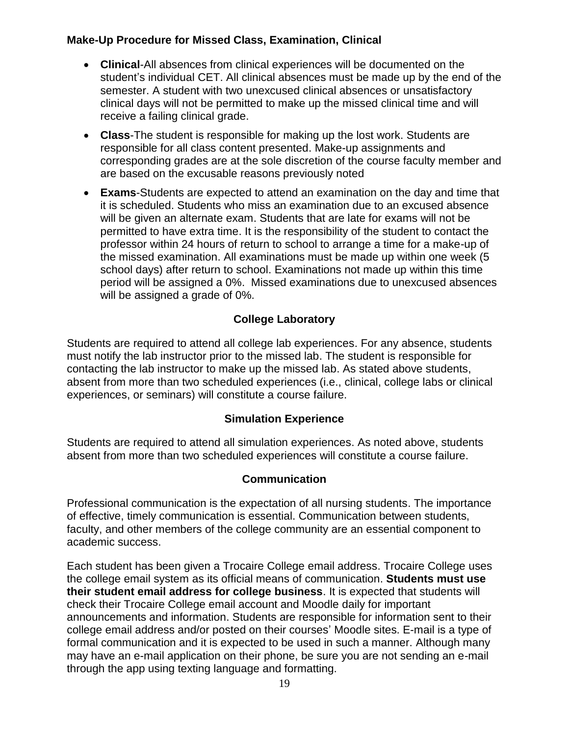# **Make-Up Procedure for Missed Class, Examination, Clinical**

- **Clinical**-All absences from clinical experiences will be documented on the student's individual CET. All clinical absences must be made up by the end of the semester. A student with two unexcused clinical absences or unsatisfactory clinical days will not be permitted to make up the missed clinical time and will receive a failing clinical grade.
- **Class**-The student is responsible for making up the lost work. Students are responsible for all class content presented. Make-up assignments and corresponding grades are at the sole discretion of the course faculty member and are based on the excusable reasons previously noted
- **Exams**-Students are expected to attend an examination on the day and time that it is scheduled. Students who miss an examination due to an excused absence will be given an alternate exam. Students that are late for exams will not be permitted to have extra time. It is the responsibility of the student to contact the professor within 24 hours of return to school to arrange a time for a make-up of the missed examination. All examinations must be made up within one week (5 school days) after return to school. Examinations not made up within this time period will be assigned a 0%. Missed examinations due to unexcused absences will be assigned a grade of 0%.

# **College Laboratory**

<span id="page-18-0"></span>Students are required to attend all college lab experiences. For any absence, students must notify the lab instructor prior to the missed lab. The student is responsible for contacting the lab instructor to make up the missed lab. As stated above students, absent from more than two scheduled experiences (i.e., clinical, college labs or clinical experiences, or seminars) will constitute a course failure.

## **Simulation Experience**

<span id="page-18-1"></span>Students are required to attend all simulation experiences. As noted above, students absent from more than two scheduled experiences will constitute a course failure.

## **Communication**

<span id="page-18-2"></span>Professional communication is the expectation of all nursing students. The importance of effective, timely communication is essential. Communication between students, faculty, and other members of the college community are an essential component to academic success.

Each student has been given a Trocaire College email address. Trocaire College uses the college email system as its official means of communication. **Students must use their student email address for college business**. It is expected that students will check their Trocaire College email account and Moodle daily for important announcements and information. Students are responsible for information sent to their college email address and/or posted on their courses' Moodle sites. E-mail is a type of formal communication and it is expected to be used in such a manner. Although many may have an e-mail application on their phone, be sure you are not sending an e-mail through the app using texting language and formatting.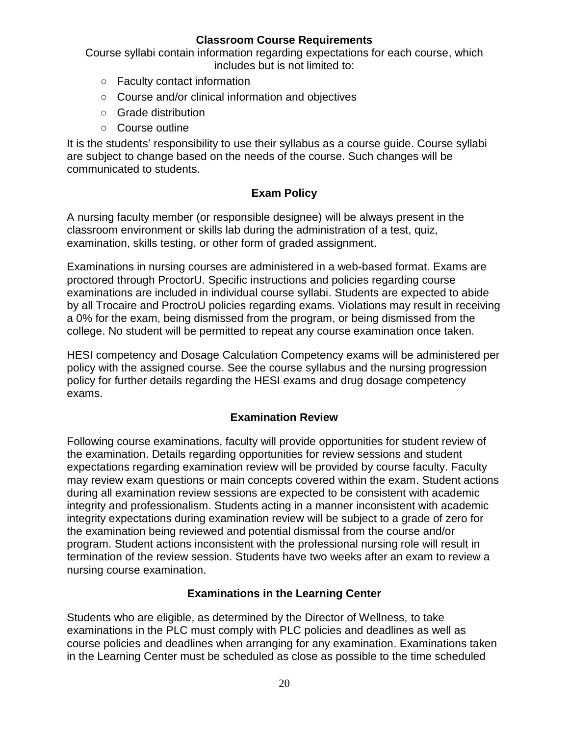#### **Classroom Course Requirements**

<span id="page-19-0"></span>Course syllabi contain information regarding expectations for each course, which includes but is not limited to:

- Faculty contact information
- Course and/or clinical information and objectives
- Grade distribution
- Course outline

It is the students' responsibility to use their syllabus as a course guide. Course syllabi are subject to change based on the needs of the course. Such changes will be communicated to students.

## **Exam Policy**

<span id="page-19-1"></span>A nursing faculty member (or responsible designee) will be always present in the classroom environment or skills lab during the administration of a test, quiz, examination, skills testing, or other form of graded assignment.

Examinations in nursing courses are administered in a web-based format. Exams are proctored through ProctorU. Specific instructions and policies regarding course examinations are included in individual course syllabi. Students are expected to abide by all Trocaire and ProctroU policies regarding exams. Violations may result in receiving a 0% for the exam, being dismissed from the program, or being dismissed from the college. No student will be permitted to repeat any course examination once taken.

HESI competency and Dosage Calculation Competency exams will be administered per policy with the assigned course. See the course syllabus and the nursing progression policy for further details regarding the HESI exams and drug dosage competency exams.

## **Examination Review**

<span id="page-19-2"></span>Following course examinations, faculty will provide opportunities for student review of the examination. Details regarding opportunities for review sessions and student expectations regarding examination review will be provided by course faculty. Faculty may review exam questions or main concepts covered within the exam. Student actions during all examination review sessions are expected to be consistent with academic integrity and professionalism. Students acting in a manner inconsistent with academic integrity expectations during examination review will be subject to a grade of zero for the examination being reviewed and potential dismissal from the course and/or program. Student actions inconsistent with the professional nursing role will result in termination of the review session. Students have two weeks after an exam to review a nursing course examination.

## **Examinations in the Learning Center**

<span id="page-19-3"></span>Students who are eligible, as determined by the Director of Wellness, to take examinations in the PLC must comply with PLC policies and deadlines as well as course policies and deadlines when arranging for any examination. Examinations taken in the Learning Center must be scheduled as close as possible to the time scheduled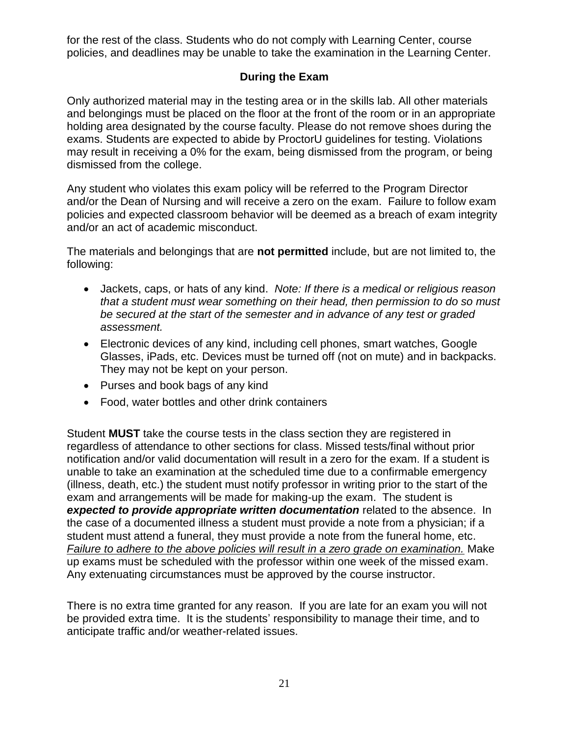for the rest of the class. Students who do not comply with Learning Center, course policies, and deadlines may be unable to take the examination in the Learning Center.

## **During the Exam**

<span id="page-20-0"></span>Only authorized material may in the testing area or in the skills lab. All other materials and belongings must be placed on the floor at the front of the room or in an appropriate holding area designated by the course faculty. Please do not remove shoes during the exams. Students are expected to abide by ProctorU guidelines for testing. Violations may result in receiving a 0% for the exam, being dismissed from the program, or being dismissed from the college.

Any student who violates this exam policy will be referred to the Program Director and/or the Dean of Nursing and will receive a zero on the exam. Failure to follow exam policies and expected classroom behavior will be deemed as a breach of exam integrity and/or an act of academic misconduct.

The materials and belongings that are **not permitted** include, but are not limited to, the following:

- Jackets, caps, or hats of any kind. *Note: If there is a medical or religious reason that a student must wear something on their head, then permission to do so must be secured at the start of the semester and in advance of any test or graded assessment.*
- Electronic devices of any kind, including cell phones, smart watches, Google Glasses, iPads, etc. Devices must be turned off (not on mute) and in backpacks. They may not be kept on your person.
- Purses and book bags of any kind
- Food, water bottles and other drink containers

Student **MUST** take the course tests in the class section they are registered in regardless of attendance to other sections for class. Missed tests/final without prior notification and/or valid documentation will result in a zero for the exam. If a student is unable to take an examination at the scheduled time due to a confirmable emergency (illness, death, etc.) the student must notify professor in writing prior to the start of the exam and arrangements will be made for making-up the exam. The student is *expected to provide appropriate written documentation* related to the absence. In the case of a documented illness a student must provide a note from a physician; if a student must attend a funeral, they must provide a note from the funeral home, etc. *Failure to adhere to the above policies will result in a zero grade on examination.* Make up exams must be scheduled with the professor within one week of the missed exam. Any extenuating circumstances must be approved by the course instructor.

There is no extra time granted for any reason. If you are late for an exam you will not be provided extra time. It is the students' responsibility to manage their time, and to anticipate traffic and/or weather-related issues.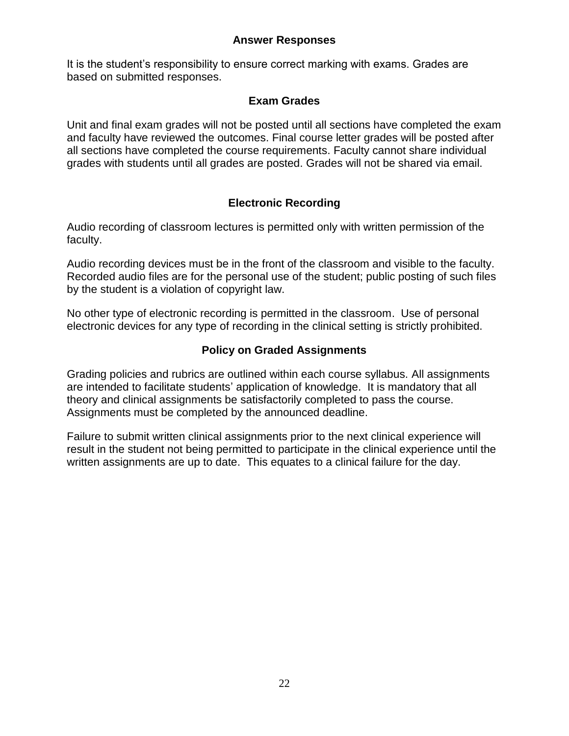#### **Answer Responses**

<span id="page-21-0"></span>It is the student's responsibility to ensure correct marking with exams. Grades are based on submitted responses.

#### **Exam Grades**

<span id="page-21-1"></span>Unit and final exam grades will not be posted until all sections have completed the exam and faculty have reviewed the outcomes. Final course letter grades will be posted after all sections have completed the course requirements. Faculty cannot share individual grades with students until all grades are posted. Grades will not be shared via email.

# **Electronic Recording**

<span id="page-21-2"></span>Audio recording of classroom lectures is permitted only with written permission of the faculty.

Audio recording devices must be in the front of the classroom and visible to the faculty. Recorded audio files are for the personal use of the student; public posting of such files by the student is a violation of copyright law.

No other type of electronic recording is permitted in the classroom. Use of personal electronic devices for any type of recording in the clinical setting is strictly prohibited.

## **Policy on Graded Assignments**

<span id="page-21-3"></span>Grading policies and rubrics are outlined within each course syllabus. All assignments are intended to facilitate students' application of knowledge. It is mandatory that all theory and clinical assignments be satisfactorily completed to pass the course. Assignments must be completed by the announced deadline.

Failure to submit written clinical assignments prior to the next clinical experience will result in the student not being permitted to participate in the clinical experience until the written assignments are up to date. This equates to a clinical failure for the day.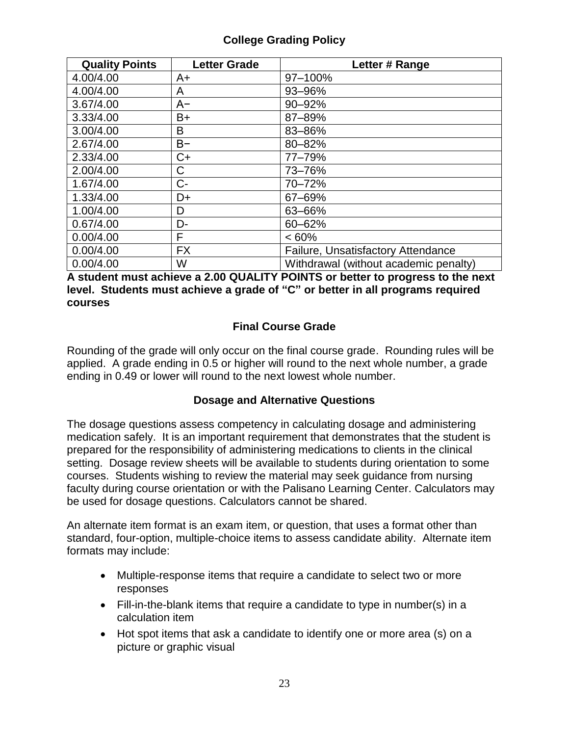# **College Grading Policy**

<span id="page-22-0"></span>

| <b>Quality Points</b> | <b>Letter Grade</b> | Letter # Range                        |
|-----------------------|---------------------|---------------------------------------|
| 4.00/4.00             | A+                  | 97-100%                               |
| 4.00/4.00             | A                   | 93-96%                                |
| 3.67/4.00             | $A-$                | 90-92%                                |
| 3.33/4.00             | B+                  | 87-89%                                |
| 3.00/4.00             | B                   | 83-86%                                |
| 2.67/4.00             | $B -$               | 80-82%                                |
| 2.33/4.00             | $C+$                | 77-79%                                |
| 2.00/4.00             | С                   | 73-76%                                |
| 1.67/4.00             | $C -$               | 70-72%                                |
| 1.33/4.00             | D+                  | 67-69%                                |
| 1.00/4.00             | D                   | 63-66%                                |
| 0.67/4.00             | D-                  | 60-62%                                |
| 0.00/4.00             | F                   | $<60\%$                               |
| 0.00/4.00             | <b>FX</b>           | Failure, Unsatisfactory Attendance    |
| 0.00/4.00             | W                   | Withdrawal (without academic penalty) |

**A student must achieve a 2.00 QUALITY POINTS or better to progress to the next level. Students must achieve a grade of "C" or better in all programs required courses**

## **Final Course Grade**

<span id="page-22-1"></span>Rounding of the grade will only occur on the final course grade. Rounding rules will be applied. A grade ending in 0.5 or higher will round to the next whole number, a grade ending in 0.49 or lower will round to the next lowest whole number.

## **Dosage and Alternative Questions**

<span id="page-22-2"></span>The dosage questions assess competency in calculating dosage and administering medication safely. It is an important requirement that demonstrates that the student is prepared for the responsibility of administering medications to clients in the clinical setting. Dosage review sheets will be available to students during orientation to some courses. Students wishing to review the material may seek guidance from nursing faculty during course orientation or with the Palisano Learning Center. Calculators may be used for dosage questions. Calculators cannot be shared.

An alternate item format is an exam item, or question, that uses a format other than standard, four-option, multiple-choice items to assess candidate ability. Alternate item formats may include:

- Multiple-response items that require a candidate to select two or more responses
- Fill-in-the-blank items that require a candidate to type in number(s) in a calculation item
- Hot spot items that ask a candidate to identify one or more area (s) on a picture or graphic visual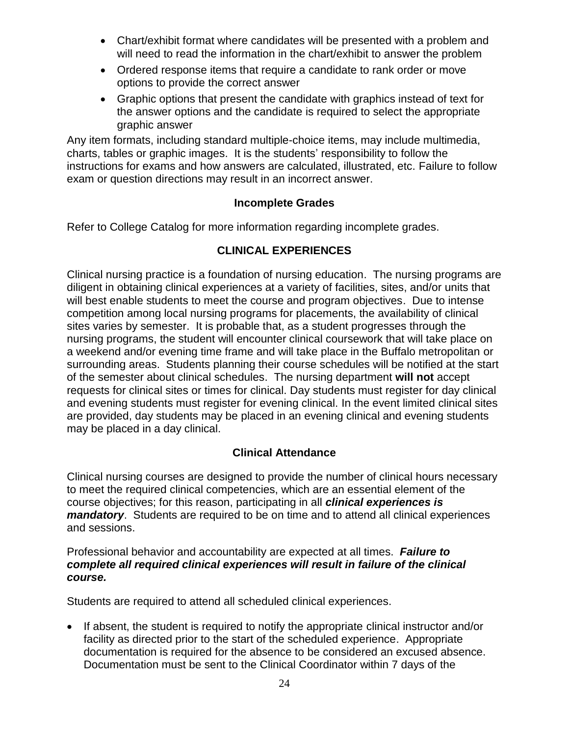- Chart/exhibit format where candidates will be presented with a problem and will need to read the information in the chart/exhibit to answer the problem
- Ordered response items that require a candidate to rank order or move options to provide the correct answer
- Graphic options that present the candidate with graphics instead of text for the answer options and the candidate is required to select the appropriate graphic answer

Any item formats, including standard multiple-choice items, may include multimedia, charts, tables or graphic images. It is the students' responsibility to follow the instructions for exams and how answers are calculated, illustrated, etc. Failure to follow exam or question directions may result in an incorrect answer.

#### **Incomplete Grades**

<span id="page-23-1"></span><span id="page-23-0"></span>Refer to College Catalog for more information regarding incomplete grades.

## **CLINICAL EXPERIENCES**

Clinical nursing practice is a foundation of nursing education. The nursing programs are diligent in obtaining clinical experiences at a variety of facilities, sites, and/or units that will best enable students to meet the course and program objectives. Due to intense competition among local nursing programs for placements, the availability of clinical sites varies by semester. It is probable that, as a student progresses through the nursing programs, the student will encounter clinical coursework that will take place on a weekend and/or evening time frame and will take place in the Buffalo metropolitan or surrounding areas. Students planning their course schedules will be notified at the start of the semester about clinical schedules. The nursing department **will not** accept requests for clinical sites or times for clinical. Day students must register for day clinical and evening students must register for evening clinical. In the event limited clinical sites are provided, day students may be placed in an evening clinical and evening students may be placed in a day clinical.

## **Clinical Attendance**

<span id="page-23-2"></span>Clinical nursing courses are designed to provide the number of clinical hours necessary to meet the required clinical competencies, which are an essential element of the course objectives; for this reason, participating in all *clinical experiences is mandatory*. Students are required to be on time and to attend all clinical experiences and sessions.

#### Professional behavior and accountability are expected at all times. *Failure to complete all required clinical experiences will result in failure of the clinical course.*

Students are required to attend all scheduled clinical experiences.

• If absent, the student is required to notify the appropriate clinical instructor and/or facility as directed prior to the start of the scheduled experience. Appropriate documentation is required for the absence to be considered an excused absence. Documentation must be sent to the Clinical Coordinator within 7 days of the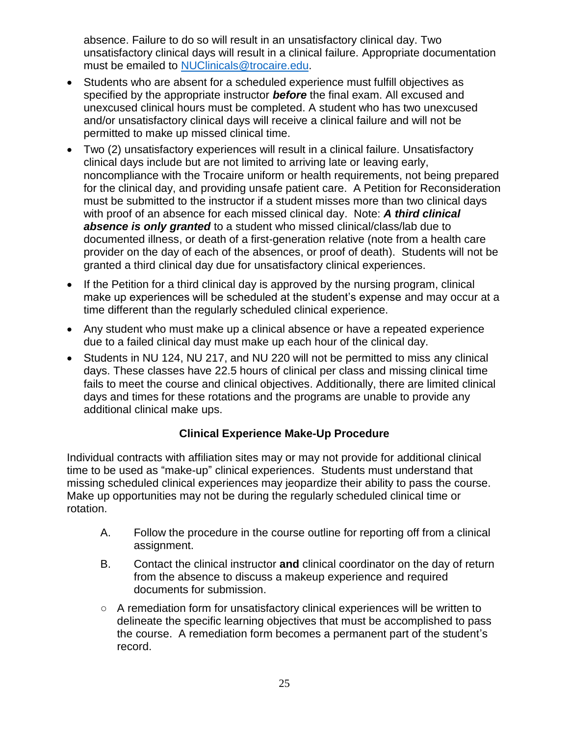absence. Failure to do so will result in an unsatisfactory clinical day. Two unsatisfactory clinical days will result in a clinical failure. Appropriate documentation must be emailed to [NUClinicals@trocaire.edu.](mailto:NUClinicals@trocaire.edu)

- Students who are absent for a scheduled experience must fulfill objectives as specified by the appropriate instructor *before* the final exam. All excused and unexcused clinical hours must be completed. A student who has two unexcused and/or unsatisfactory clinical days will receive a clinical failure and will not be permitted to make up missed clinical time.
- Two (2) unsatisfactory experiences will result in a clinical failure. Unsatisfactory clinical days include but are not limited to arriving late or leaving early, noncompliance with the Trocaire uniform or health requirements, not being prepared for the clinical day, and providing unsafe patient care. A Petition for Reconsideration must be submitted to the instructor if a student misses more than two clinical days with proof of an absence for each missed clinical day. Note: *A third clinical absence is only granted* to a student who missed clinical/class/lab due to documented illness, or death of a first-generation relative (note from a health care provider on the day of each of the absences, or proof of death). Students will not be granted a third clinical day due for unsatisfactory clinical experiences.
- If the Petition for a third clinical day is approved by the nursing program, clinical make up experiences will be scheduled at the student's expense and may occur at a time different than the regularly scheduled clinical experience.
- Any student who must make up a clinical absence or have a repeated experience due to a failed clinical day must make up each hour of the clinical day.
- Students in NU 124, NU 217, and NU 220 will not be permitted to miss any clinical days. These classes have 22.5 hours of clinical per class and missing clinical time fails to meet the course and clinical objectives. Additionally, there are limited clinical days and times for these rotations and the programs are unable to provide any additional clinical make ups.

# **Clinical Experience Make-Up Procedure**

<span id="page-24-0"></span>Individual contracts with affiliation sites may or may not provide for additional clinical time to be used as "make-up" clinical experiences. Students must understand that missing scheduled clinical experiences may jeopardize their ability to pass the course. Make up opportunities may not be during the regularly scheduled clinical time or rotation.

- A. Follow the procedure in the course outline for reporting off from a clinical assignment.
- B. Contact the clinical instructor **and** clinical coordinator on the day of return from the absence to discuss a makeup experience and required documents for submission.
- A remediation form for unsatisfactory clinical experiences will be written to delineate the specific learning objectives that must be accomplished to pass the course. A remediation form becomes a permanent part of the student's record.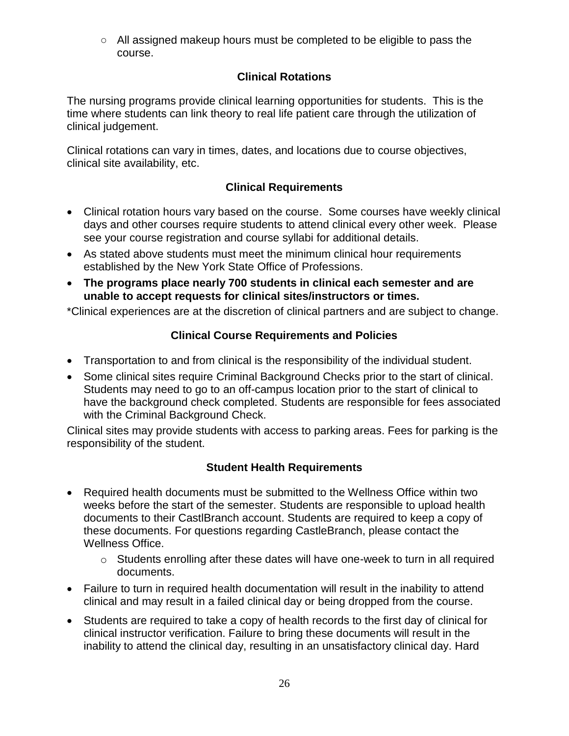○ All assigned makeup hours must be completed to be eligible to pass the course.

# **Clinical Rotations**

<span id="page-25-0"></span>The nursing programs provide clinical learning opportunities for students. This is the time where students can link theory to real life patient care through the utilization of clinical judgement.

Clinical rotations can vary in times, dates, and locations due to course objectives, clinical site availability, etc.

## **Clinical Requirements**

- <span id="page-25-1"></span> Clinical rotation hours vary based on the course. Some courses have weekly clinical days and other courses require students to attend clinical every other week. Please see your course registration and course syllabi for additional details.
- As stated above students must meet the minimum clinical hour requirements established by the New York State Office of Professions.
- **The programs place nearly 700 students in clinical each semester and are unable to accept requests for clinical sites/instructors or times.**

\*Clinical experiences are at the discretion of clinical partners and are subject to change.

## **Clinical Course Requirements and Policies**

- <span id="page-25-2"></span>Transportation to and from clinical is the responsibility of the individual student.
- Some clinical sites require Criminal Background Checks prior to the start of clinical. Students may need to go to an off-campus location prior to the start of clinical to have the background check completed. Students are responsible for fees associated with the Criminal Background Check.

Clinical sites may provide students with access to parking areas. Fees for parking is the responsibility of the student.

## **Student Health Requirements**

- <span id="page-25-3"></span> Required health documents must be submitted to the Wellness Office within two weeks before the start of the semester. Students are responsible to upload health documents to their CastlBranch account. Students are required to keep a copy of these documents. For questions regarding CastleBranch, please contact the Wellness Office.
	- $\circ$  Students enrolling after these dates will have one-week to turn in all required documents.
- Failure to turn in required health documentation will result in the inability to attend clinical and may result in a failed clinical day or being dropped from the course.
- Students are required to take a copy of health records to the first day of clinical for clinical instructor verification. Failure to bring these documents will result in the inability to attend the clinical day, resulting in an unsatisfactory clinical day. Hard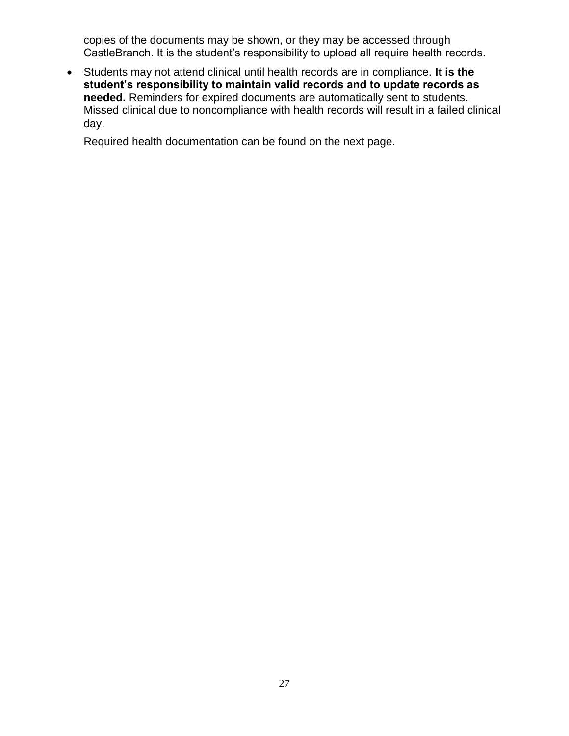copies of the documents may be shown, or they may be accessed through CastleBranch. It is the student's responsibility to upload all require health records.

 Students may not attend clinical until health records are in compliance. **It is the student's responsibility to maintain valid records and to update records as needed.** Reminders for expired documents are automatically sent to students. Missed clinical due to noncompliance with health records will result in a failed clinical day.

Required health documentation can be found on the next page.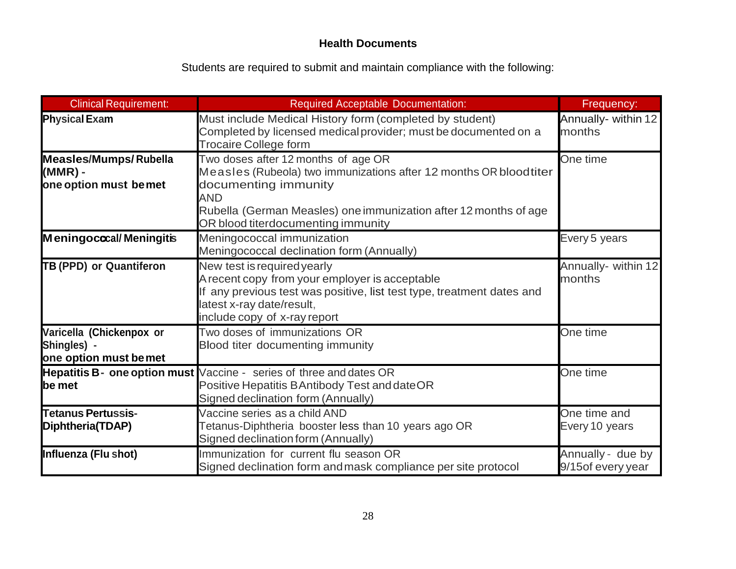# **Health Documents**

Students are required to submit and maintain compliance with the following:

<span id="page-27-0"></span>

| <b>Clinical Requirement:</b>                                     | <b>Required Acceptable Documentation:</b>                                                                                                                                                                                                         | Frequency:                             |
|------------------------------------------------------------------|---------------------------------------------------------------------------------------------------------------------------------------------------------------------------------------------------------------------------------------------------|----------------------------------------|
| <b>Physical Exam</b>                                             | Must include Medical History form (completed by student)<br>Completed by licensed medical provider; must be documented on a<br><b>Trocaire College form</b>                                                                                       | Annually- within 12<br>months          |
| <b>Measles/Mumps/Rubella</b><br>(MMR) -<br>one option must bemet | Two doses after 12 months of age OR<br>Measles (Rubeola) two immunizations after 12 months OR bloodtiter<br>documenting immunity<br>AND<br>Rubella (German Measles) one immunization after 12 months of age<br>OR blood titerdocumenting immunity | One time                               |
| Meningococal/Meningitis                                          | Meningococcal immunization<br>Meningococcal declination form (Annually)                                                                                                                                                                           | Every 5 years                          |
| TB (PPD) or Quantiferon                                          | New test is required yearly<br>A recent copy from your employer is acceptable<br>If any previous test was positive, list test type, treatment dates and<br>latest x-ray date/result,<br>include copy of x-ray report                              | Annually- within 12<br>months          |
| Varicella (Chickenpox or<br>Shingles) -<br>one option must bemet | Two doses of immunizations OR<br>Blood titer documenting immunity                                                                                                                                                                                 | One time                               |
| be met                                                           | Hepatitis B- one option must Vaccine - series of three and dates OR<br>Positive Hepatitis BAntibody Test and dateOR<br>Signed declination form (Annually)                                                                                         | One time                               |
| <b>Tetanus Pertussis-</b><br>Diphtheria(TDAP)                    | Vaccine series as a child AND<br>Tetanus-Diphtheria booster less than 10 years ago OR<br>Signed declination form (Annually)                                                                                                                       | One time and<br>Every 10 years         |
| Influenza (Flu shot)                                             | Immunization for current flu season OR<br>Signed declination form and mask compliance per site protocol                                                                                                                                           | Annually - due by<br>9/15of every year |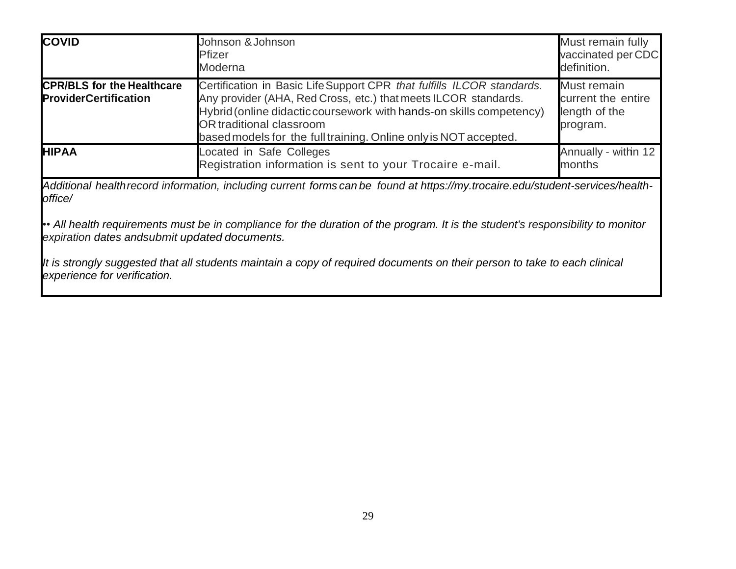| <b>COVID</b>                                                      | Johnson & Johnson<br>Pfizer<br>Moderna                                                                                                                                                                                                                                                                                  | Must remain fully<br>vaccinated per CDC<br>definition.         |
|-------------------------------------------------------------------|-------------------------------------------------------------------------------------------------------------------------------------------------------------------------------------------------------------------------------------------------------------------------------------------------------------------------|----------------------------------------------------------------|
| <b>CPR/BLS for the Healthcare</b><br><b>ProviderCertification</b> | Certification in Basic Life Support CPR that fulfills ILCOR standards.<br>Any provider (AHA, Red Cross, etc.) that meets ILCOR standards.<br>Hybrid (online didactic coursework with hands-on skills competency)<br><b>OR</b> traditional classroom<br>based models for the full training. Online only is NOT accepted. | Must remain<br>current the entire<br>length of the<br>program. |
| <b>HIPAA</b>                                                      | Located in Safe Colleges<br>Registration information is sent to your Trocaire e-mail.                                                                                                                                                                                                                                   | Annually - within 12<br>months                                 |

*Additional healthrecord information, including current forms can be found at https://my.trocaire.edu/student-services/healthoffice/*

•• *All health requirements must be in compliance for the duration of the program. It is the student's responsibility to monitor expiration dates andsubmit updated documents.*

*It is strongly suggested that all students maintain a copy of required documents on their person to take to each clinical experience for verification.*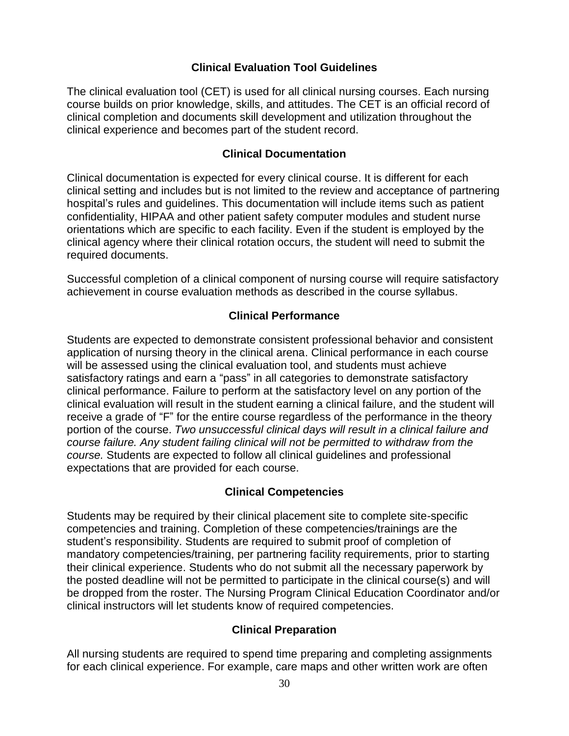## **Clinical Evaluation Tool Guidelines**

<span id="page-29-0"></span>The clinical evaluation tool (CET) is used for all clinical nursing courses. Each nursing course builds on prior knowledge, skills, and attitudes. The CET is an official record of clinical completion and documents skill development and utilization throughout the clinical experience and becomes part of the student record.

#### **Clinical Documentation**

<span id="page-29-1"></span>Clinical documentation is expected for every clinical course. It is different for each clinical setting and includes but is not limited to the review and acceptance of partnering hospital's rules and guidelines. This documentation will include items such as patient confidentiality, HIPAA and other patient safety computer modules and student nurse orientations which are specific to each facility. Even if the student is employed by the clinical agency where their clinical rotation occurs, the student will need to submit the required documents.

Successful completion of a clinical component of nursing course will require satisfactory achievement in course evaluation methods as described in the course syllabus.

#### **Clinical Performance**

<span id="page-29-2"></span>Students are expected to demonstrate consistent professional behavior and consistent application of nursing theory in the clinical arena. Clinical performance in each course will be assessed using the clinical evaluation tool, and students must achieve satisfactory ratings and earn a "pass" in all categories to demonstrate satisfactory clinical performance. Failure to perform at the satisfactory level on any portion of the clinical evaluation will result in the student earning a clinical failure, and the student will receive a grade of "F" for the entire course regardless of the performance in the theory portion of the course. *Two unsuccessful clinical days will result in a clinical failure and course failure. Any student failing clinical will not be permitted to withdraw from the course.* Students are expected to follow all clinical guidelines and professional expectations that are provided for each course.

#### **Clinical Competencies**

<span id="page-29-3"></span>Students may be required by their clinical placement site to complete site-specific competencies and training. Completion of these competencies/trainings are the student's responsibility. Students are required to submit proof of completion of mandatory competencies/training, per partnering facility requirements, prior to starting their clinical experience. Students who do not submit all the necessary paperwork by the posted deadline will not be permitted to participate in the clinical course(s) and will be dropped from the roster. The Nursing Program Clinical Education Coordinator and/or clinical instructors will let students know of required competencies.

#### **Clinical Preparation**

<span id="page-29-4"></span>All nursing students are required to spend time preparing and completing assignments for each clinical experience. For example, care maps and other written work are often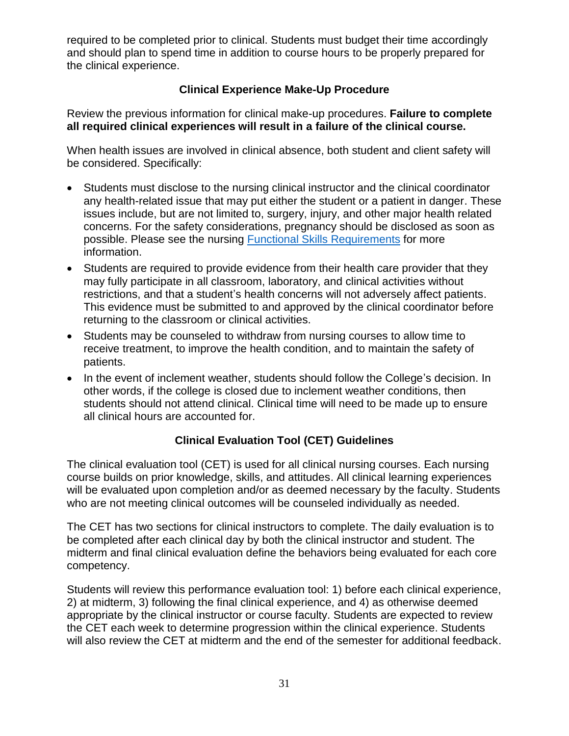required to be completed prior to clinical. Students must budget their time accordingly and should plan to spend time in addition to course hours to be properly prepared for the clinical experience.

# **Clinical Experience Make-Up Procedure**

<span id="page-30-0"></span>Review the previous information for clinical make-up procedures. **Failure to complete all required clinical experiences will result in a failure of the clinical course.**

When health issues are involved in clinical absence, both student and client safety will be considered. Specifically:

- Students must disclose to the nursing clinical instructor and the clinical coordinator any health-related issue that may put either the student or a patient in danger. These issues include, but are not limited to, surgery, injury, and other major health related concerns. For the safety considerations, pregnancy should be disclosed as soon as possible. Please see the nursing [Functional Skills Requirements](https://trocaire.edu/app/uploads/2018/08/Functional-and-technical-abilities-1.pdf) for more information.
- Students are required to provide evidence from their health care provider that they may fully participate in all classroom, laboratory, and clinical activities without restrictions, and that a student's health concerns will not adversely affect patients. This evidence must be submitted to and approved by the clinical coordinator before returning to the classroom or clinical activities.
- Students may be counseled to withdraw from nursing courses to allow time to receive treatment, to improve the health condition, and to maintain the safety of patients.
- In the event of inclement weather, students should follow the College's decision. In other words, if the college is closed due to inclement weather conditions, then students should not attend clinical. Clinical time will need to be made up to ensure all clinical hours are accounted for.

# **Clinical Evaluation Tool (CET) Guidelines**

<span id="page-30-1"></span>The clinical evaluation tool (CET) is used for all clinical nursing courses. Each nursing course builds on prior knowledge, skills, and attitudes. All clinical learning experiences will be evaluated upon completion and/or as deemed necessary by the faculty. Students who are not meeting clinical outcomes will be counseled individually as needed.

The CET has two sections for clinical instructors to complete. The daily evaluation is to be completed after each clinical day by both the clinical instructor and student. The midterm and final clinical evaluation define the behaviors being evaluated for each core competency.

Students will review this performance evaluation tool: 1) before each clinical experience, 2) at midterm, 3) following the final clinical experience, and 4) as otherwise deemed appropriate by the clinical instructor or course faculty. Students are expected to review the CET each week to determine progression within the clinical experience. Students will also review the CET at midterm and the end of the semester for additional feedback.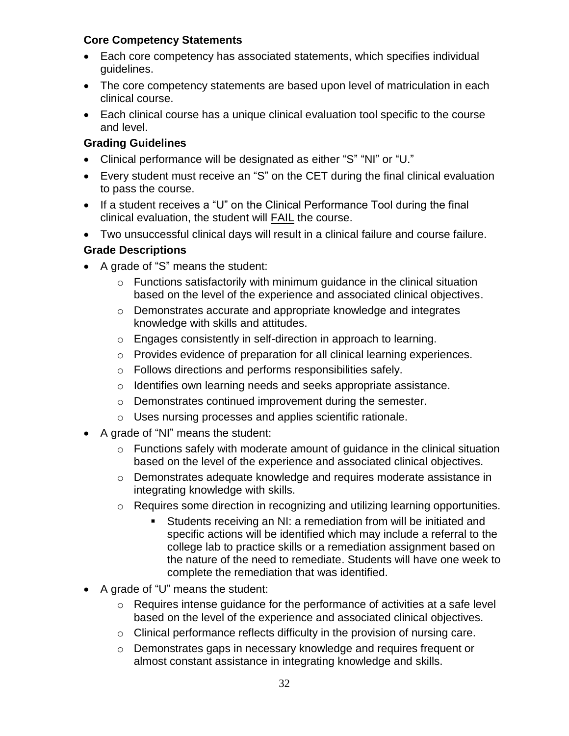## **Core Competency Statements**

- Each core competency has associated statements, which specifies individual guidelines.
- The core competency statements are based upon level of matriculation in each clinical course.
- Each clinical course has a unique clinical evaluation tool specific to the course and level.

# **Grading Guidelines**

- Clinical performance will be designated as either "S" "NI" or "U."
- Every student must receive an "S" on the CET during the final clinical evaluation to pass the course.
- If a student receives a "U" on the Clinical Performance Tool during the final clinical evaluation, the student will FAIL the course.
- Two unsuccessful clinical days will result in a clinical failure and course failure.

# **Grade Descriptions**

- A grade of "S" means the student:
	- $\circ$  Functions satisfactorily with minimum quidance in the clinical situation based on the level of the experience and associated clinical objectives.
	- o Demonstrates accurate and appropriate knowledge and integrates knowledge with skills and attitudes.
	- o Engages consistently in self-direction in approach to learning.
	- o Provides evidence of preparation for all clinical learning experiences.
	- o Follows directions and performs responsibilities safely.
	- o Identifies own learning needs and seeks appropriate assistance.
	- o Demonstrates continued improvement during the semester.
	- o Uses nursing processes and applies scientific rationale.
- A grade of "NI" means the student:
	- o Functions safely with moderate amount of guidance in the clinical situation based on the level of the experience and associated clinical objectives.
	- o Demonstrates adequate knowledge and requires moderate assistance in integrating knowledge with skills.
	- o Requires some direction in recognizing and utilizing learning opportunities.
		- Students receiving an NI: a remediation from will be initiated and specific actions will be identified which may include a referral to the college lab to practice skills or a remediation assignment based on the nature of the need to remediate. Students will have one week to complete the remediation that was identified.
- A grade of "U" means the student:
	- o Requires intense guidance for the performance of activities at a safe level based on the level of the experience and associated clinical objectives.
	- o Clinical performance reflects difficulty in the provision of nursing care.
	- o Demonstrates gaps in necessary knowledge and requires frequent or almost constant assistance in integrating knowledge and skills.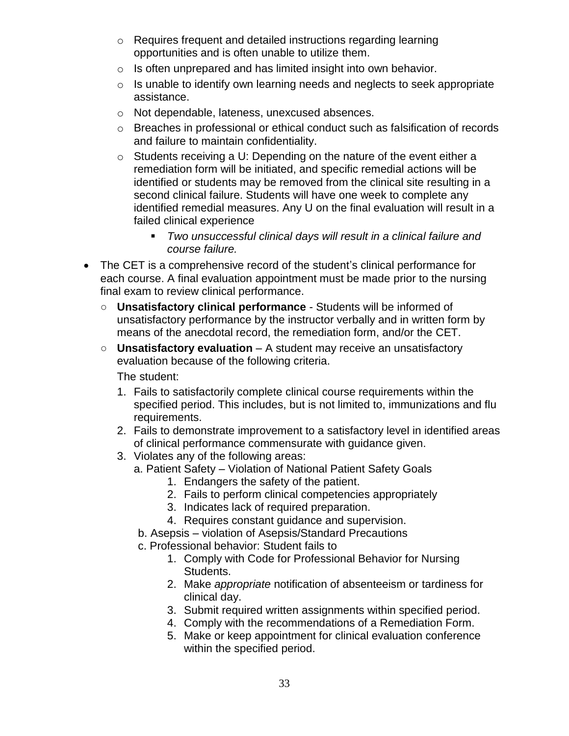- o Requires frequent and detailed instructions regarding learning opportunities and is often unable to utilize them.
- $\circ$  Is often unprepared and has limited insight into own behavior.
- o Is unable to identify own learning needs and neglects to seek appropriate assistance.
- o Not dependable, lateness, unexcused absences.
- o Breaches in professional or ethical conduct such as falsification of records and failure to maintain confidentiality.
- $\circ$  Students receiving a U: Depending on the nature of the event either a remediation form will be initiated, and specific remedial actions will be identified or students may be removed from the clinical site resulting in a second clinical failure. Students will have one week to complete any identified remedial measures. Any U on the final evaluation will result in a failed clinical experience
	- *Two unsuccessful clinical days will result in a clinical failure and course failure.*
- The CET is a comprehensive record of the student's clinical performance for each course. A final evaluation appointment must be made prior to the nursing final exam to review clinical performance.
	- **Unsatisfactory clinical performance** Students will be informed of unsatisfactory performance by the instructor verbally and in written form by means of the anecdotal record, the remediation form, and/or the CET.
	- **Unsatisfactory evaluation** A student may receive an unsatisfactory evaluation because of the following criteria.

The student:

- 1. Fails to satisfactorily complete clinical course requirements within the specified period. This includes, but is not limited to, immunizations and flu requirements.
- 2. Fails to demonstrate improvement to a satisfactory level in identified areas of clinical performance commensurate with guidance given.
- 3. Violates any of the following areas:
	- a. Patient Safety Violation of National Patient Safety Goals
		- 1. Endangers the safety of the patient.
		- 2. Fails to perform clinical competencies appropriately
		- 3. Indicates lack of required preparation.
		- 4. Requires constant guidance and supervision.
		- b. Asepsis violation of Asepsis/Standard Precautions
		- c. Professional behavior: Student fails to
			- 1. Comply with Code for Professional Behavior for Nursing Students.
			- 2. Make *appropriate* notification of absenteeism or tardiness for clinical day.
			- 3. Submit required written assignments within specified period.
			- 4. Comply with the recommendations of a Remediation Form.
			- 5. Make or keep appointment for clinical evaluation conference within the specified period.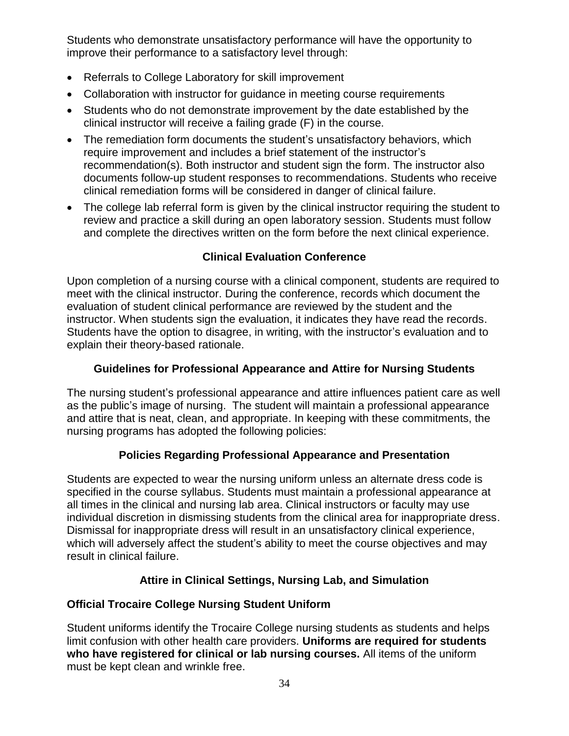Students who demonstrate unsatisfactory performance will have the opportunity to improve their performance to a satisfactory level through:

- Referrals to College Laboratory for skill improvement
- Collaboration with instructor for quidance in meeting course requirements
- Students who do not demonstrate improvement by the date established by the clinical instructor will receive a failing grade (F) in the course.
- The remediation form documents the student's unsatisfactory behaviors, which require improvement and includes a brief statement of the instructor's recommendation(s). Both instructor and student sign the form. The instructor also documents follow-up student responses to recommendations. Students who receive clinical remediation forms will be considered in danger of clinical failure.
- The college lab referral form is given by the clinical instructor requiring the student to review and practice a skill during an open laboratory session. Students must follow and complete the directives written on the form before the next clinical experience.

# **Clinical Evaluation Conference**

<span id="page-33-0"></span>Upon completion of a nursing course with a clinical component, students are required to meet with the clinical instructor. During the conference, records which document the evaluation of student clinical performance are reviewed by the student and the instructor. When students sign the evaluation, it indicates they have read the records. Students have the option to disagree, in writing, with the instructor's evaluation and to explain their theory-based rationale.

## **Guidelines for Professional Appearance and Attire for Nursing Students**

<span id="page-33-1"></span>The nursing student's professional appearance and attire influences patient care as well as the public's image of nursing. The student will maintain a professional appearance and attire that is neat, clean, and appropriate. In keeping with these commitments, the nursing programs has adopted the following policies:

# **Policies Regarding Professional Appearance and Presentation**

<span id="page-33-2"></span>Students are expected to wear the nursing uniform unless an alternate dress code is specified in the course syllabus. Students must maintain a professional appearance at all times in the clinical and nursing lab area. Clinical instructors or faculty may use individual discretion in dismissing students from the clinical area for inappropriate dress. Dismissal for inappropriate dress will result in an unsatisfactory clinical experience, which will adversely affect the student's ability to meet the course objectives and may result in clinical failure.

# **Attire in Clinical Settings, Nursing Lab, and Simulation**

# <span id="page-33-3"></span>**Official Trocaire College Nursing Student Uniform**

Student uniforms identify the Trocaire College nursing students as students and helps limit confusion with other health care providers. **Uniforms are required for students who have registered for clinical or lab nursing courses.** All items of the uniform must be kept clean and wrinkle free.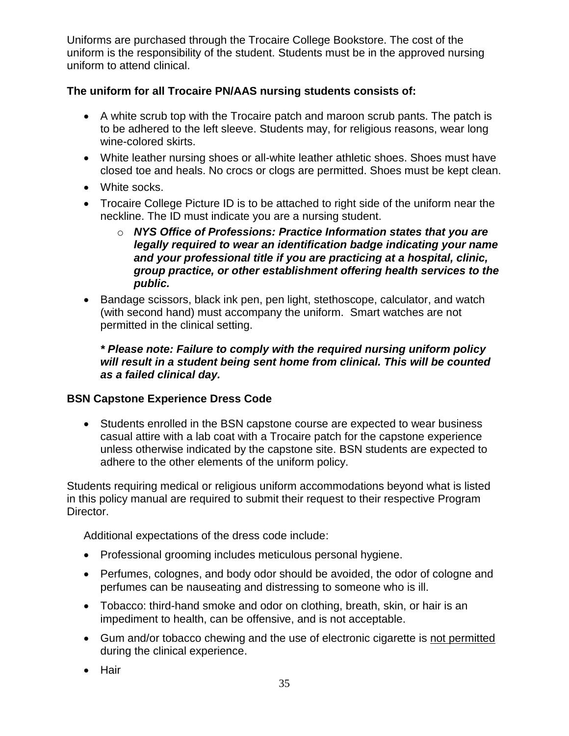Uniforms are purchased through the Trocaire College Bookstore. The cost of the uniform is the responsibility of the student. Students must be in the approved nursing uniform to attend clinical.

# **The uniform for all Trocaire PN/AAS nursing students consists of:**

- A white scrub top with the Trocaire patch and maroon scrub pants. The patch is to be adhered to the left sleeve. Students may, for religious reasons, wear long wine-colored skirts.
- White leather nursing shoes or all-white leather athletic shoes. Shoes must have closed toe and heals. No crocs or clogs are permitted. Shoes must be kept clean.
- White socks.
- Trocaire College Picture ID is to be attached to right side of the uniform near the neckline. The ID must indicate you are a nursing student.
	- o *NYS Office of Professions: Practice Information states that you are legally required to wear an identification badge indicating your name and your professional title if you are practicing at a hospital, clinic, group practice, or other establishment offering health services to the public.*
- Bandage scissors, black ink pen, pen light, stethoscope, calculator, and watch (with second hand) must accompany the uniform. Smart watches are not permitted in the clinical setting.

#### *\* Please note: Failure to comply with the required nursing uniform policy will result in a student being sent home from clinical. This will be counted as a failed clinical day.*

# **BSN Capstone Experience Dress Code**

 Students enrolled in the BSN capstone course are expected to wear business casual attire with a lab coat with a Trocaire patch for the capstone experience unless otherwise indicated by the capstone site. BSN students are expected to adhere to the other elements of the uniform policy.

Students requiring medical or religious uniform accommodations beyond what is listed in this policy manual are required to submit their request to their respective Program Director.

Additional expectations of the dress code include:

- Professional grooming includes meticulous personal hygiene.
- Perfumes, colognes, and body odor should be avoided, the odor of cologne and perfumes can be nauseating and distressing to someone who is ill.
- Tobacco: third-hand smoke and odor on clothing, breath, skin, or hair is an impediment to health, can be offensive, and is not acceptable.
- Gum and/or tobacco chewing and the use of electronic cigarette is not permitted during the clinical experience.
- Hair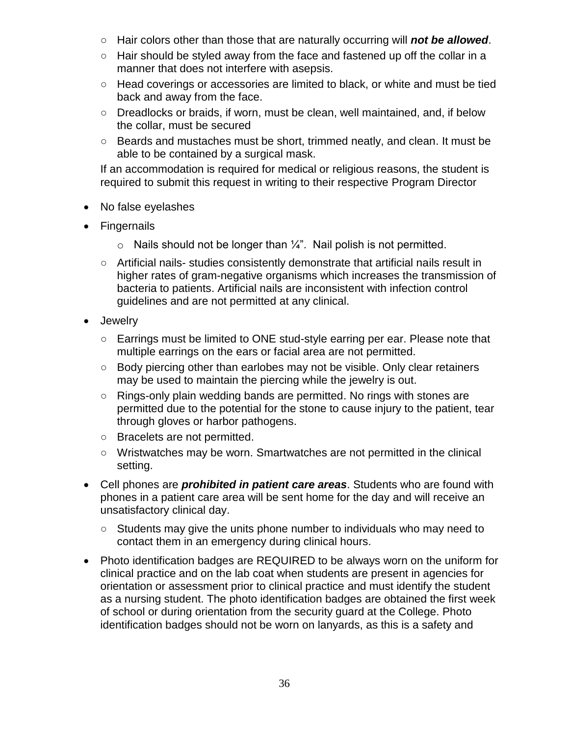- Hair colors other than those that are naturally occurring will *not be allowed*.
- $\circ$  Hair should be styled away from the face and fastened up off the collar in a manner that does not interfere with asepsis.
- Head coverings or accessories are limited to black, or white and must be tied back and away from the face.
- Dreadlocks or braids, if worn, must be clean, well maintained, and, if below the collar, must be secured
- Beards and mustaches must be short, trimmed neatly, and clean. It must be able to be contained by a surgical mask.

If an accommodation is required for medical or religious reasons, the student is required to submit this request in writing to their respective Program Director

- No false eyelashes
- Fingernails
	- $\circ$  Nails should not be longer than  $\frac{1}{4}$ ". Nail polish is not permitted.
	- Artificial nails- studies consistently demonstrate that artificial nails result in higher rates of gram-negative organisms which increases the transmission of bacteria to patients. Artificial nails are inconsistent with infection control guidelines and are not permitted at any clinical.
- Jewelry
	- Earrings must be limited to ONE stud-style earring per ear. Please note that multiple earrings on the ears or facial area are not permitted.
	- Body piercing other than earlobes may not be visible. Only clear retainers may be used to maintain the piercing while the jewelry is out.
	- Rings-only plain wedding bands are permitted. No rings with stones are permitted due to the potential for the stone to cause injury to the patient, tear through gloves or harbor pathogens.
	- Bracelets are not permitted.
	- Wristwatches may be worn. Smartwatches are not permitted in the clinical setting.
- Cell phones are *prohibited in patient care areas*. Students who are found with phones in a patient care area will be sent home for the day and will receive an unsatisfactory clinical day.
	- Students may give the units phone number to individuals who may need to contact them in an emergency during clinical hours.
- Photo identification badges are REQUIRED to be always worn on the uniform for clinical practice and on the lab coat when students are present in agencies for orientation or assessment prior to clinical practice and must identify the student as a nursing student. The photo identification badges are obtained the first week of school or during orientation from the security guard at the College. Photo identification badges should not be worn on lanyards, as this is a safety and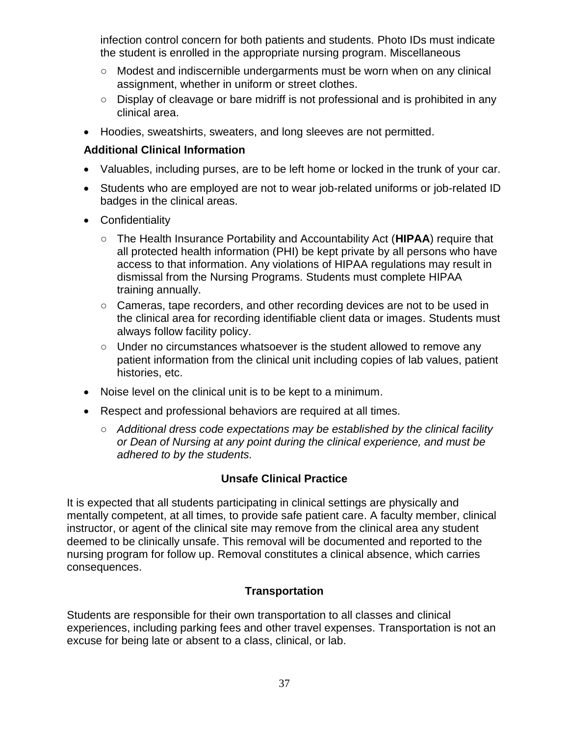infection control concern for both patients and students. Photo IDs must indicate the student is enrolled in the appropriate nursing program. Miscellaneous

- Modest and indiscernible undergarments must be worn when on any clinical assignment, whether in uniform or street clothes.
- Display of cleavage or bare midriff is not professional and is prohibited in any clinical area.
- Hoodies, sweatshirts, sweaters, and long sleeves are not permitted.

#### **Additional Clinical Information**

- Valuables, including purses, are to be left home or locked in the trunk of your car.
- Students who are employed are not to wear job-related uniforms or job-related ID badges in the clinical areas.
- Confidentiality
	- The Health Insurance Portability and Accountability Act (**HIPAA**) require that all protected health information (PHI) be kept private by all persons who have access to that information. Any violations of HIPAA regulations may result in dismissal from the Nursing Programs. Students must complete HIPAA training annually.
	- Cameras, tape recorders, and other recording devices are not to be used in the clinical area for recording identifiable client data or images. Students must always follow facility policy.
	- Under no circumstances whatsoever is the student allowed to remove any patient information from the clinical unit including copies of lab values, patient histories, etc.
- Noise level on the clinical unit is to be kept to a minimum.
- Respect and professional behaviors are required at all times.
	- *Additional dress code expectations may be established by the clinical facility or Dean of Nursing at any point during the clinical experience, and must be adhered to by the students.*

## **Unsafe Clinical Practice**

<span id="page-36-0"></span>It is expected that all students participating in clinical settings are physically and mentally competent, at all times, to provide safe patient care. A faculty member, clinical instructor, or agent of the clinical site may remove from the clinical area any student deemed to be clinically unsafe. This removal will be documented and reported to the nursing program for follow up. Removal constitutes a clinical absence, which carries consequences.

## **Transportation**

<span id="page-36-1"></span>Students are responsible for their own transportation to all classes and clinical experiences, including parking fees and other travel expenses. Transportation is not an excuse for being late or absent to a class, clinical, or lab.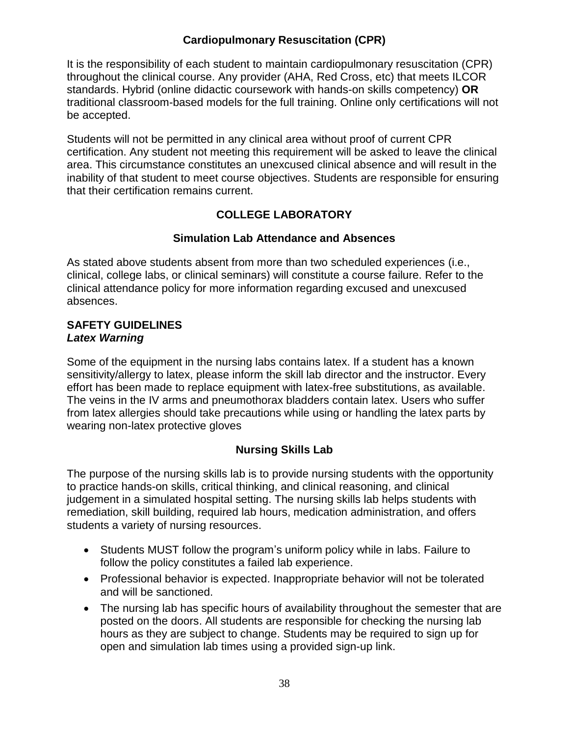# **Cardiopulmonary Resuscitation (CPR)**

<span id="page-37-0"></span>It is the responsibility of each student to maintain cardiopulmonary resuscitation (CPR) throughout the clinical course. Any provider (AHA, Red Cross, etc) that meets ILCOR standards. Hybrid (online didactic coursework with hands-on skills competency) **OR** traditional classroom-based models for the full training. Online only certifications will not be accepted.

Students will not be permitted in any clinical area without proof of current CPR certification. Any student not meeting this requirement will be asked to leave the clinical area. This circumstance constitutes an unexcused clinical absence and will result in the inability of that student to meet course objectives. Students are responsible for ensuring that their certification remains current.

# **COLLEGE LABORATORY**

#### **Simulation Lab Attendance and Absences**

<span id="page-37-2"></span><span id="page-37-1"></span>As stated above students absent from more than two scheduled experiences (i.e., clinical, college labs, or clinical seminars) will constitute a course failure. Refer to the clinical attendance policy for more information regarding excused and unexcused absences.

#### **SAFETY GUIDELINES** *Latex Warning*

Some of the equipment in the nursing labs contains latex. If a student has a known sensitivity/allergy to latex, please inform the skill lab director and the instructor. Every effort has been made to replace equipment with latex-free substitutions, as available. The veins in the IV arms and pneumothorax bladders contain latex. Users who suffer from latex allergies should take precautions while using or handling the latex parts by wearing non-latex protective gloves

## **Nursing Skills Lab**

<span id="page-37-3"></span>The purpose of the nursing skills lab is to provide nursing students with the opportunity to practice hands-on skills, critical thinking, and clinical reasoning, and clinical judgement in a simulated hospital setting. The nursing skills lab helps students with remediation, skill building, required lab hours, medication administration, and offers students a variety of nursing resources.

- Students MUST follow the program's uniform policy while in labs. Failure to follow the policy constitutes a failed lab experience.
- Professional behavior is expected. Inappropriate behavior will not be tolerated and will be sanctioned.
- The nursing lab has specific hours of availability throughout the semester that are posted on the doors. All students are responsible for checking the nursing lab hours as they are subject to change. Students may be required to sign up for open and simulation lab times using a provided sign-up link.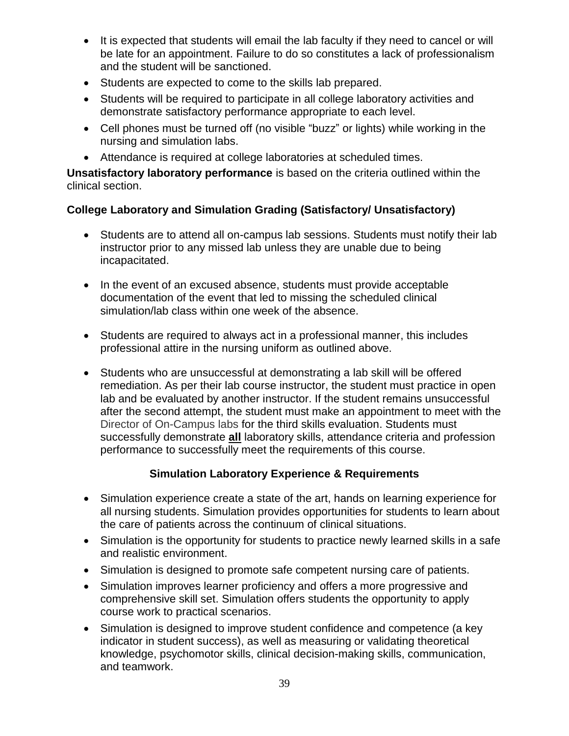- It is expected that students will email the lab faculty if they need to cancel or will be late for an appointment. Failure to do so constitutes a lack of professionalism and the student will be sanctioned.
- Students are expected to come to the skills lab prepared.
- Students will be required to participate in all college laboratory activities and demonstrate satisfactory performance appropriate to each level.
- Cell phones must be turned off (no visible "buzz" or lights) while working in the nursing and simulation labs.
- Attendance is required at college laboratories at scheduled times.

**Unsatisfactory laboratory performance** is based on the criteria outlined within the clinical section.

# **College Laboratory and Simulation Grading (Satisfactory/ Unsatisfactory)**

- Students are to attend all on-campus lab sessions. Students must notify their lab instructor prior to any missed lab unless they are unable due to being incapacitated.
- In the event of an excused absence, students must provide acceptable documentation of the event that led to missing the scheduled clinical simulation/lab class within one week of the absence.
- Students are required to always act in a professional manner, this includes professional attire in the nursing uniform as outlined above.
- Students who are unsuccessful at demonstrating a lab skill will be offered remediation. As per their lab course instructor, the student must practice in open lab and be evaluated by another instructor. If the student remains unsuccessful after the second attempt, the student must make an appointment to meet with the Director of On-Campus labs for the third skills evaluation. Students must successfully demonstrate **all** laboratory skills, attendance criteria and profession performance to successfully meet the requirements of this course.

# **Simulation Laboratory Experience & Requirements**

- <span id="page-38-0"></span> Simulation experience create a state of the art, hands on learning experience for all nursing students. Simulation provides opportunities for students to learn about the care of patients across the continuum of clinical situations.
- Simulation is the opportunity for students to practice newly learned skills in a safe and realistic environment.
- Simulation is designed to promote safe competent nursing care of patients.
- Simulation improves learner proficiency and offers a more progressive and comprehensive skill set. Simulation offers students the opportunity to apply course work to practical scenarios.
- Simulation is designed to improve student confidence and competence (a key indicator in student success), as well as measuring or validating theoretical knowledge, psychomotor skills, clinical decision-making skills, communication, and teamwork.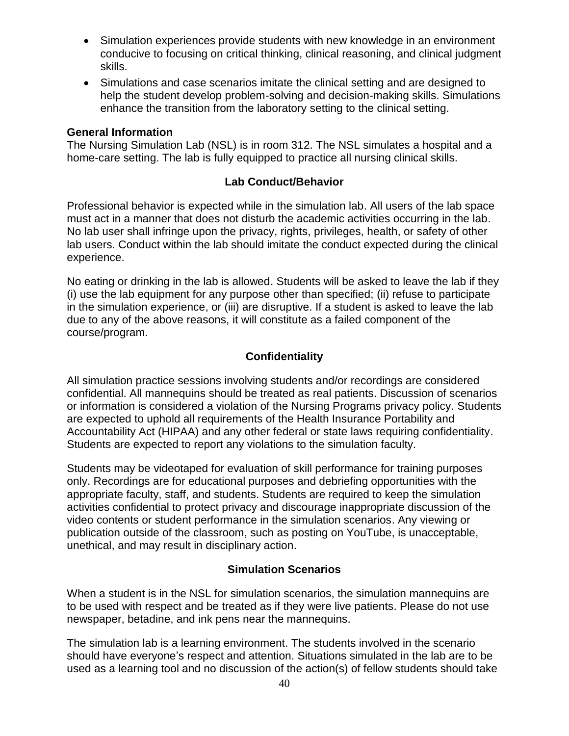- Simulation experiences provide students with new knowledge in an environment conducive to focusing on critical thinking, clinical reasoning, and clinical judgment skills.
- Simulations and case scenarios imitate the clinical setting and are designed to help the student develop problem-solving and decision-making skills. Simulations enhance the transition from the laboratory setting to the clinical setting.

#### **General Information**

The Nursing Simulation Lab (NSL) is in room 312. The NSL simulates a hospital and a home-care setting. The lab is fully equipped to practice all nursing clinical skills.

#### **Lab Conduct/Behavior**

<span id="page-39-0"></span>Professional behavior is expected while in the simulation lab. All users of the lab space must act in a manner that does not disturb the academic activities occurring in the lab. No lab user shall infringe upon the privacy, rights, privileges, health, or safety of other lab users. Conduct within the lab should imitate the conduct expected during the clinical experience.

No eating or drinking in the lab is allowed. Students will be asked to leave the lab if they (i) use the lab equipment for any purpose other than specified; (ii) refuse to participate in the simulation experience, or (iii) are disruptive. If a student is asked to leave the lab due to any of the above reasons, it will constitute as a failed component of the course/program.

## **Confidentiality**

<span id="page-39-1"></span>All simulation practice sessions involving students and/or recordings are considered confidential. All mannequins should be treated as real patients. Discussion of scenarios or information is considered a violation of the Nursing Programs privacy policy. Students are expected to uphold all requirements of the Health Insurance Portability and Accountability Act (HIPAA) and any other federal or state laws requiring confidentiality. Students are expected to report any violations to the simulation faculty.

Students may be videotaped for evaluation of skill performance for training purposes only. Recordings are for educational purposes and debriefing opportunities with the appropriate faculty, staff, and students. Students are required to keep the simulation activities confidential to protect privacy and discourage inappropriate discussion of the video contents or student performance in the simulation scenarios. Any viewing or publication outside of the classroom, such as posting on YouTube, is unacceptable, unethical, and may result in disciplinary action.

#### **Simulation Scenarios**

<span id="page-39-2"></span>When a student is in the NSL for simulation scenarios, the simulation mannequins are to be used with respect and be treated as if they were live patients. Please do not use newspaper, betadine, and ink pens near the mannequins.

The simulation lab is a learning environment. The students involved in the scenario should have everyone's respect and attention. Situations simulated in the lab are to be used as a learning tool and no discussion of the action(s) of fellow students should take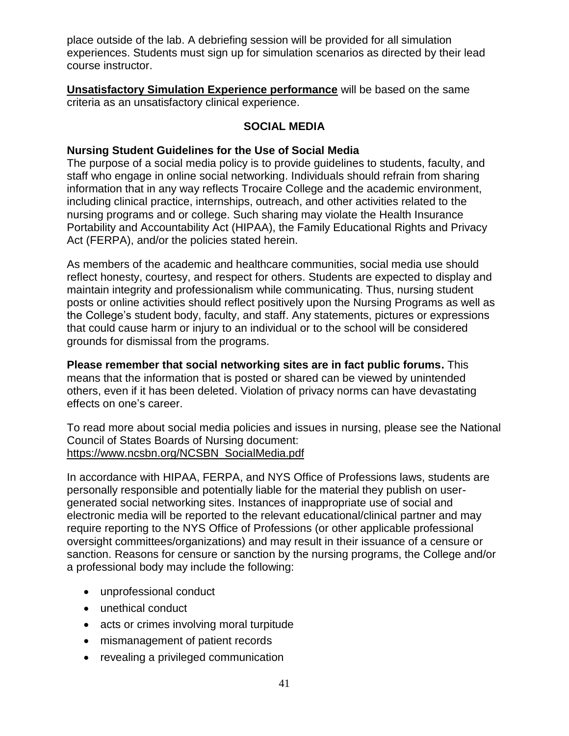place outside of the lab. A debriefing session will be provided for all simulation experiences. Students must sign up for simulation scenarios as directed by their lead course instructor.

**Unsatisfactory Simulation Experience performance** will be based on the same criteria as an unsatisfactory clinical experience.

## **SOCIAL MEDIA**

#### <span id="page-40-0"></span>**Nursing Student Guidelines for the Use of Social Media**

The purpose of a social media policy is to provide guidelines to students, faculty, and staff who engage in online social networking. Individuals should refrain from sharing information that in any way reflects Trocaire College and the academic environment, including clinical practice, internships, outreach, and other activities related to the nursing programs and or college. Such sharing may violate the Health Insurance Portability and Accountability Act (HIPAA), the Family Educational Rights and Privacy Act (FERPA), and/or the policies stated herein.

As members of the academic and healthcare communities, social media use should reflect honesty, courtesy, and respect for others. Students are expected to display and maintain integrity and professionalism while communicating. Thus, nursing student posts or online activities should reflect positively upon the Nursing Programs as well as the College's student body, faculty, and staff. Any statements, pictures or expressions that could cause harm or injury to an individual or to the school will be considered grounds for dismissal from the programs.

**Please remember that social networking sites are in fact public forums.** This means that the information that is posted or shared can be viewed by unintended others, even if it has been deleted. Violation of privacy norms can have devastating effects on one's career.

To read more about social media policies and issues in nursing, please see the National Council of States Boards of Nursing document: https://www.ncsbn.org/NCSBN\_SocialMedia.pdf

In accordance with HIPAA, FERPA, and NYS Office of Professions laws, students are personally responsible and potentially liable for the material they publish on usergenerated social networking sites. Instances of inappropriate use of social and electronic media will be reported to the relevant educational/clinical partner and may require reporting to the NYS Office of Professions (or other applicable professional oversight committees/organizations) and may result in their issuance of a censure or sanction. Reasons for censure or sanction by the nursing programs, the College and/or a professional body may include the following:

- unprofessional conduct
- unethical conduct
- acts or crimes involving moral turpitude
- mismanagement of patient records
- revealing a privileged communication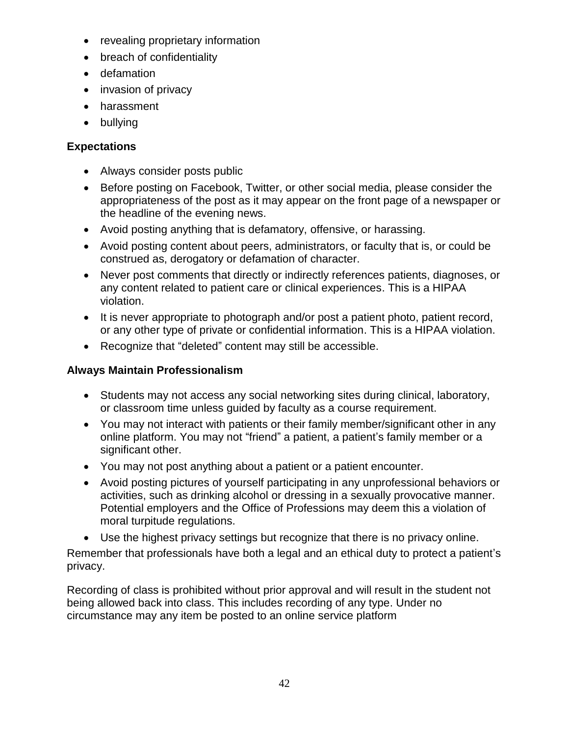- revealing proprietary information
- breach of confidentiality
- defamation
- invasion of privacy
- harassment
- bullying

# **Expectations**

- Always consider posts public
- Before posting on Facebook, Twitter, or other social media, please consider the appropriateness of the post as it may appear on the front page of a newspaper or the headline of the evening news.
- Avoid posting anything that is defamatory, offensive, or harassing.
- Avoid posting content about peers, administrators, or faculty that is, or could be construed as, derogatory or defamation of character.
- Never post comments that directly or indirectly references patients, diagnoses, or any content related to patient care or clinical experiences. This is a HIPAA violation.
- It is never appropriate to photograph and/or post a patient photo, patient record, or any other type of private or confidential information. This is a HIPAA violation.
- Recognize that "deleted" content may still be accessible.

# **Always Maintain Professionalism**

- Students may not access any social networking sites during clinical, laboratory, or classroom time unless guided by faculty as a course requirement.
- You may not interact with patients or their family member/significant other in any online platform. You may not "friend" a patient, a patient's family member or a significant other.
- You may not post anything about a patient or a patient encounter.
- Avoid posting pictures of yourself participating in any unprofessional behaviors or activities, such as drinking alcohol or dressing in a sexually provocative manner. Potential employers and the Office of Professions may deem this a violation of moral turpitude regulations.
- Use the highest privacy settings but recognize that there is no privacy online.

Remember that professionals have both a legal and an ethical duty to protect a patient's privacy.

Recording of class is prohibited without prior approval and will result in the student not being allowed back into class. This includes recording of any type. Under no circumstance may any item be posted to an online service platform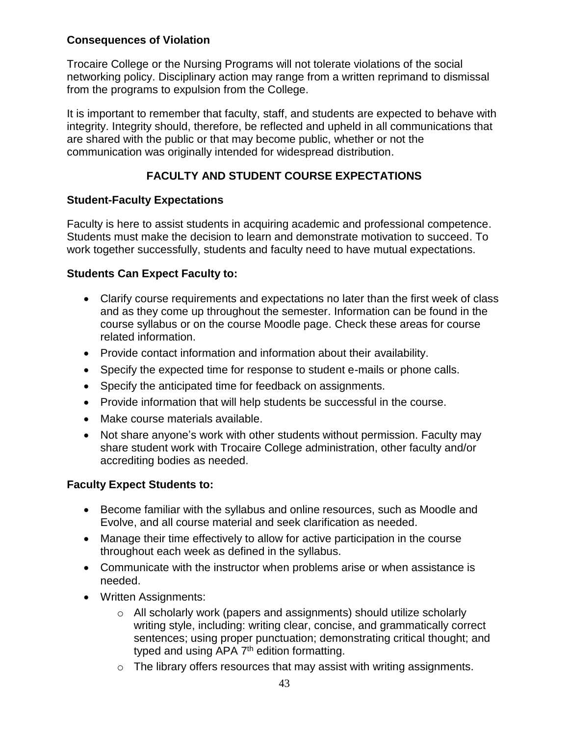# **Consequences of Violation**

Trocaire College or the Nursing Programs will not tolerate violations of the social networking policy. Disciplinary action may range from a written reprimand to dismissal from the programs to expulsion from the College.

It is important to remember that faculty, staff, and students are expected to behave with integrity. Integrity should, therefore, be reflected and upheld in all communications that are shared with the public or that may become public, whether or not the communication was originally intended for widespread distribution.

# **FACULTY AND STUDENT COURSE EXPECTATIONS**

## <span id="page-42-0"></span>**Student-Faculty Expectations**

Faculty is here to assist students in acquiring academic and professional competence. Students must make the decision to learn and demonstrate motivation to succeed. To work together successfully, students and faculty need to have mutual expectations.

## **Students Can Expect Faculty to:**

- Clarify course requirements and expectations no later than the first week of class and as they come up throughout the semester. Information can be found in the course syllabus or on the course Moodle page. Check these areas for course related information.
- Provide contact information and information about their availability.
- Specify the expected time for response to student e-mails or phone calls.
- Specify the anticipated time for feedback on assignments.
- Provide information that will help students be successful in the course.
- Make course materials available.
- Not share anyone's work with other students without permission. Faculty may share student work with Trocaire College administration, other faculty and/or accrediting bodies as needed.

# **Faculty Expect Students to:**

- Become familiar with the syllabus and online resources, such as Moodle and Evolve, and all course material and seek clarification as needed.
- Manage their time effectively to allow for active participation in the course throughout each week as defined in the syllabus.
- Communicate with the instructor when problems arise or when assistance is needed.
- Written Assignments:
	- o All scholarly work (papers and assignments) should utilize scholarly writing style, including: writing clear, concise, and grammatically correct sentences; using proper punctuation; demonstrating critical thought; and typed and using APA 7<sup>th</sup> edition formatting.
	- $\circ$  The library offers resources that may assist with writing assignments.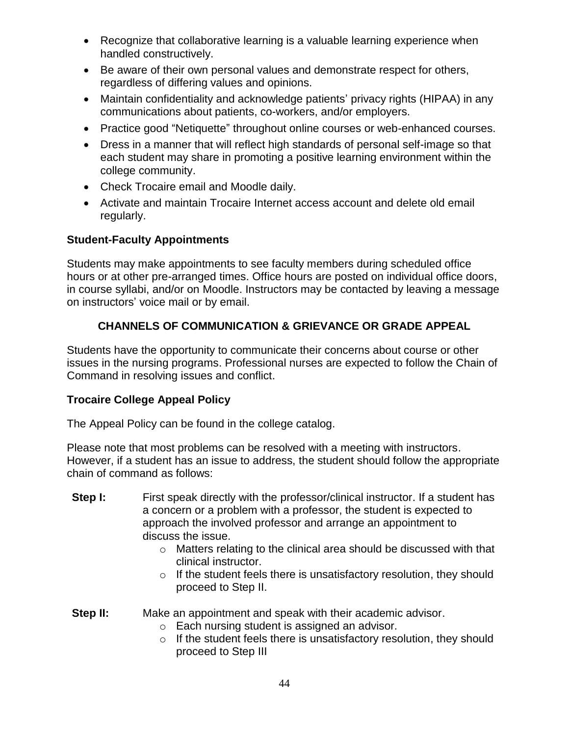- Recognize that collaborative learning is a valuable learning experience when handled constructively.
- Be aware of their own personal values and demonstrate respect for others, regardless of differing values and opinions.
- Maintain confidentiality and acknowledge patients' privacy rights (HIPAA) in any communications about patients, co-workers, and/or employers.
- Practice good "Netiquette" throughout online courses or web-enhanced courses.
- Dress in a manner that will reflect high standards of personal self-image so that each student may share in promoting a positive learning environment within the college community.
- Check Trocaire email and Moodle daily.
- Activate and maintain Trocaire Internet access account and delete old email regularly.

# **Student-Faculty Appointments**

Students may make appointments to see faculty members during scheduled office hours or at other pre-arranged times. Office hours are posted on individual office doors, in course syllabi, and/or on Moodle. Instructors may be contacted by leaving a message on instructors' voice mail or by email.

# **CHANNELS OF COMMUNICATION & GRIEVANCE OR GRADE APPEAL**

<span id="page-43-0"></span>Students have the opportunity to communicate their concerns about course or other issues in the nursing programs. Professional nurses are expected to follow the Chain of Command in resolving issues and conflict.

## **Trocaire College Appeal Policy**

The Appeal Policy can be found in the college catalog.

Please note that most problems can be resolved with a meeting with instructors. However, if a student has an issue to address, the student should follow the appropriate chain of command as follows:

- **Step I:** First speak directly with the professor/clinical instructor. If a student has a concern or a problem with a professor, the student is expected to approach the involved professor and arrange an appointment to discuss the issue.
	- o Matters relating to the clinical area should be discussed with that clinical instructor.
	- $\circ$  If the student feels there is unsatisfactory resolution, they should proceed to Step II.
- **Step II:** Make an appointment and speak with their academic advisor.
	- o Each nursing student is assigned an advisor.
	- o If the student feels there is unsatisfactory resolution, they should proceed to Step III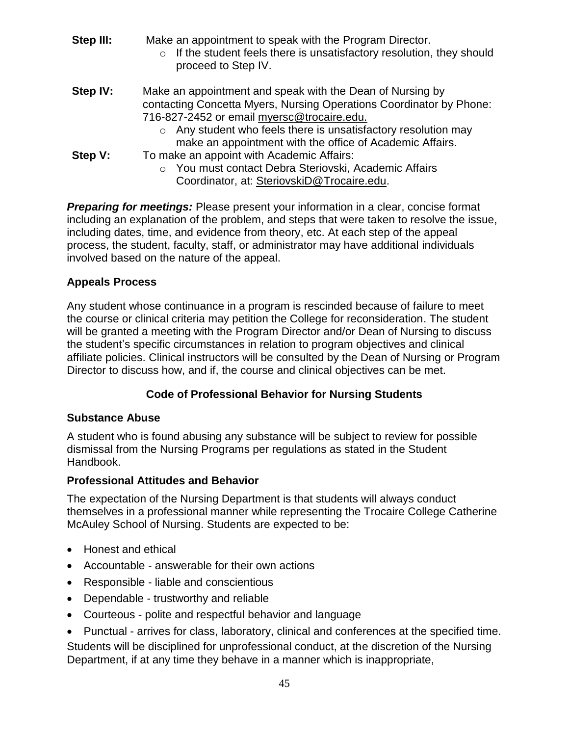- **Step III:** Make an appointment to speak with the Program Director.
	- $\circ$  If the student feels there is unsatisfactory resolution, they should proceed to Step IV.
- **Step IV:** Make an appointment and speak with the Dean of Nursing by contacting Concetta Myers, Nursing Operations Coordinator by Phone: 716-827-2452 or email myersc@trocaire.edu.
	- o Any student who feels there is unsatisfactory resolution may make an appointment with the office of Academic Affairs.
- **Step V:** To make an appoint with Academic Affairs:
	- o You must contact Debra Steriovski, Academic Affairs Coordinator, at: SteriovskiD@Trocaire.edu.

*Preparing for meetings:* Please present your information in a clear, concise format including an explanation of the problem, and steps that were taken to resolve the issue, including dates, time, and evidence from theory, etc. At each step of the appeal process, the student, faculty, staff, or administrator may have additional individuals involved based on the nature of the appeal.

## **Appeals Process**

Any student whose continuance in a program is rescinded because of failure to meet the course or clinical criteria may petition the College for reconsideration. The student will be granted a meeting with the Program Director and/or Dean of Nursing to discuss the student's specific circumstances in relation to program objectives and clinical affiliate policies. Clinical instructors will be consulted by the Dean of Nursing or Program Director to discuss how, and if, the course and clinical objectives can be met.

# **Code of Professional Behavior for Nursing Students**

# <span id="page-44-0"></span>**Substance Abuse**

A student who is found abusing any substance will be subject to review for possible dismissal from the Nursing Programs per regulations as stated in the Student Handbook.

# **Professional Attitudes and Behavior**

The expectation of the Nursing Department is that students will always conduct themselves in a professional manner while representing the Trocaire College Catherine McAuley School of Nursing. Students are expected to be:

- Honest and ethical
- Accountable answerable for their own actions
- Responsible liable and conscientious
- Dependable trustworthy and reliable
- Courteous polite and respectful behavior and language
- Punctual arrives for class, laboratory, clinical and conferences at the specified time. Students will be disciplined for unprofessional conduct, at the discretion of the Nursing Department, if at any time they behave in a manner which is inappropriate,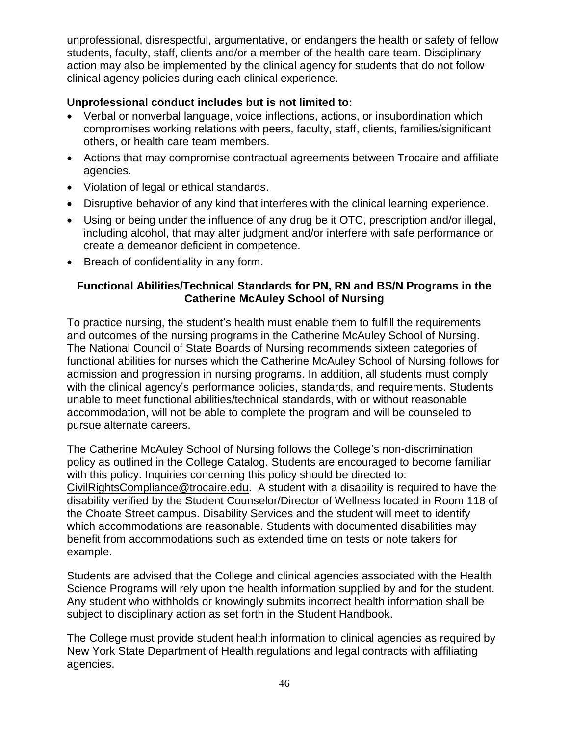unprofessional, disrespectful, argumentative, or endangers the health or safety of fellow students, faculty, staff, clients and/or a member of the health care team. Disciplinary action may also be implemented by the clinical agency for students that do not follow clinical agency policies during each clinical experience.

## **Unprofessional conduct includes but is not limited to:**

- Verbal or nonverbal language, voice inflections, actions, or insubordination which compromises working relations with peers, faculty, staff, clients, families/significant others, or health care team members.
- Actions that may compromise contractual agreements between Trocaire and affiliate agencies.
- Violation of legal or ethical standards.
- Disruptive behavior of any kind that interferes with the clinical learning experience.
- Using or being under the influence of any drug be it OTC, prescription and/or illegal, including alcohol, that may alter judgment and/or interfere with safe performance or create a demeanor deficient in competence.
- Breach of confidentiality in any form.

## <span id="page-45-0"></span>**Functional Abilities/Technical Standards for PN, RN and BS/N Programs in the Catherine McAuley School of Nursing**

To practice nursing, the student's health must enable them to fulfill the requirements and outcomes of the nursing programs in the Catherine McAuley School of Nursing. The National Council of State Boards of Nursing recommends sixteen categories of functional abilities for nurses which the Catherine McAuley School of Nursing follows for admission and progression in nursing programs. In addition, all students must comply with the clinical agency's performance policies, standards, and requirements. Students unable to meet functional abilities/technical standards, with or without reasonable accommodation, will not be able to complete the program and will be counseled to pursue alternate careers.

The Catherine McAuley School of Nursing follows the College's non-discrimination policy as outlined in the College Catalog. Students are encouraged to become familiar with this policy. Inquiries concerning this policy should be directed to: CivilRightsCompliance@trocaire.edu. A student with a disability is required to have the disability verified by the Student Counselor/Director of Wellness located in Room 118 of the Choate Street campus. Disability Services and the student will meet to identify which accommodations are reasonable. Students with documented disabilities may benefit from accommodations such as extended time on tests or note takers for example.

Students are advised that the College and clinical agencies associated with the Health Science Programs will rely upon the health information supplied by and for the student. Any student who withholds or knowingly submits incorrect health information shall be subject to disciplinary action as set forth in the Student Handbook.

The College must provide student health information to clinical agencies as required by New York State Department of Health regulations and legal contracts with affiliating agencies.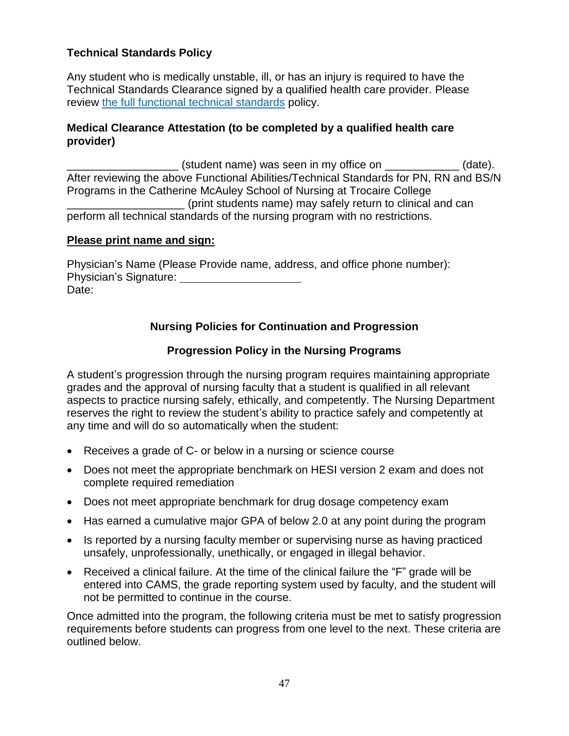## **Technical Standards Policy**

Any student who is medically unstable, ill, or has an injury is required to have the Technical Standards Clearance signed by a qualified health care provider. Please review [the full functional technical standards](https://trocaire.edu/academics/wp-content/uploads/sites/2/2021/08/Functional-and-technical-abilities-1.pdf) policy.

#### **Medical Clearance Attestation (to be completed by a qualified health care provider)**

(student name) was seen in my office on  $(date).$ After reviewing the above Functional Abilities/Technical Standards for PN, RN and BS/N Programs in the Catherine McAuley School of Nursing at Trocaire College \_\_\_\_\_\_\_\_\_\_\_\_\_\_\_\_\_\_\_ (print students name) may safely return to clinical and can perform all technical standards of the nursing program with no restrictions.

#### **Please print name and sign:**

<span id="page-46-0"></span>Physician's Name (Please Provide name, address, and office phone number): Physician's Signature: Date:

# **Nursing Policies for Continuation and Progression**

## **Progression Policy in the Nursing Programs**

<span id="page-46-1"></span>A student's progression through the nursing program requires maintaining appropriate grades and the approval of nursing faculty that a student is qualified in all relevant aspects to practice nursing safely, ethically, and competently. The Nursing Department reserves the right to review the student's ability to practice safely and competently at any time and will do so automatically when the student:

- Receives a grade of C- or below in a nursing or science course
- Does not meet the appropriate benchmark on HESI version 2 exam and does not complete required remediation
- Does not meet appropriate benchmark for drug dosage competency exam
- Has earned a cumulative major GPA of below 2.0 at any point during the program
- Is reported by a nursing faculty member or supervising nurse as having practiced unsafely, unprofessionally, unethically, or engaged in illegal behavior.
- Received a clinical failure. At the time of the clinical failure the "F" grade will be entered into CAMS, the grade reporting system used by faculty, and the student will not be permitted to continue in the course.

Once admitted into the program, the following criteria must be met to satisfy progression requirements before students can progress from one level to the next. These criteria are outlined below.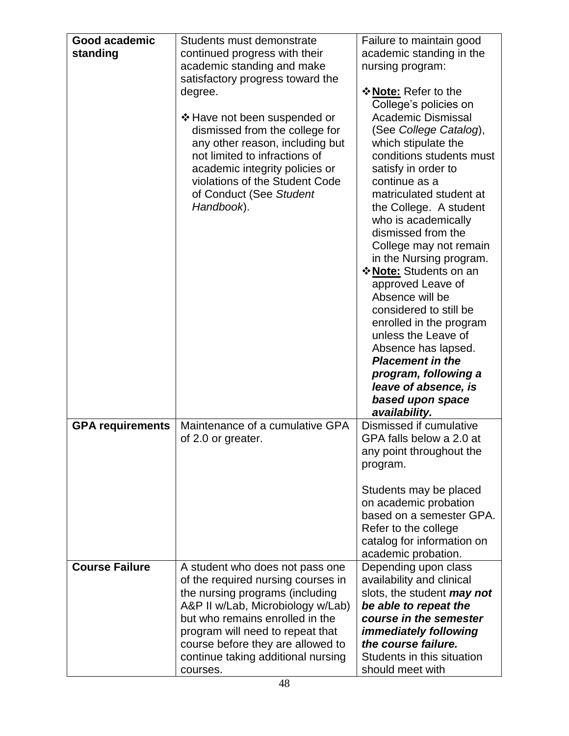| Good academic           | Students must demonstrate                                            | Failure to maintain good                           |
|-------------------------|----------------------------------------------------------------------|----------------------------------------------------|
| standing                | continued progress with their                                        | academic standing in the                           |
|                         | academic standing and make                                           | nursing program:                                   |
|                         | satisfactory progress toward the                                     |                                                    |
|                         | degree.                                                              | <b>☆ Note: Refer to the</b>                        |
|                         |                                                                      | College's policies on                              |
|                         | ❖ Have not been suspended or                                         | <b>Academic Dismissal</b>                          |
|                         | dismissed from the college for                                       | (See College Catalog),                             |
|                         | any other reason, including but<br>not limited to infractions of     | which stipulate the<br>conditions students must    |
|                         | academic integrity policies or                                       | satisfy in order to                                |
|                         | violations of the Student Code                                       | continue as a                                      |
|                         | of Conduct (See Student                                              | matriculated student at                            |
|                         | Handbook).                                                           | the College. A student                             |
|                         |                                                                      | who is academically                                |
|                         |                                                                      | dismissed from the                                 |
|                         |                                                                      | College may not remain                             |
|                         |                                                                      | in the Nursing program.                            |
|                         |                                                                      | <b>☆ Note: Students on an</b><br>approved Leave of |
|                         |                                                                      | Absence will be                                    |
|                         |                                                                      | considered to still be                             |
|                         |                                                                      | enrolled in the program                            |
|                         |                                                                      | unless the Leave of                                |
|                         |                                                                      | Absence has lapsed.                                |
|                         |                                                                      | <b>Placement in the</b>                            |
|                         |                                                                      | program, following a                               |
|                         |                                                                      | leave of absence, is                               |
|                         |                                                                      | based upon space<br>availability.                  |
| <b>GPA requirements</b> | Maintenance of a cumulative GPA                                      | Dismissed if cumulative                            |
|                         |                                                                      |                                                    |
|                         | of 2.0 or greater.                                                   | GPA falls below a 2.0 at                           |
|                         |                                                                      | any point throughout the                           |
|                         |                                                                      | program.                                           |
|                         |                                                                      |                                                    |
|                         |                                                                      | Students may be placed                             |
|                         |                                                                      | on academic probation<br>based on a semester GPA.  |
|                         |                                                                      | Refer to the college                               |
|                         |                                                                      | catalog for information on                         |
|                         |                                                                      | academic probation.                                |
| <b>Course Failure</b>   | A student who does not pass one                                      | Depending upon class                               |
|                         | of the required nursing courses in                                   | availability and clinical                          |
|                         | the nursing programs (including                                      | slots, the student <i>may not</i>                  |
|                         | A&P II w/Lab, Microbiology w/Lab)<br>but who remains enrolled in the | be able to repeat the<br>course in the semester    |
|                         | program will need to repeat that                                     | <i>immediately following</i>                       |
|                         | course before they are allowed to                                    | the course failure.                                |
|                         | continue taking additional nursing                                   | Students in this situation<br>should meet with     |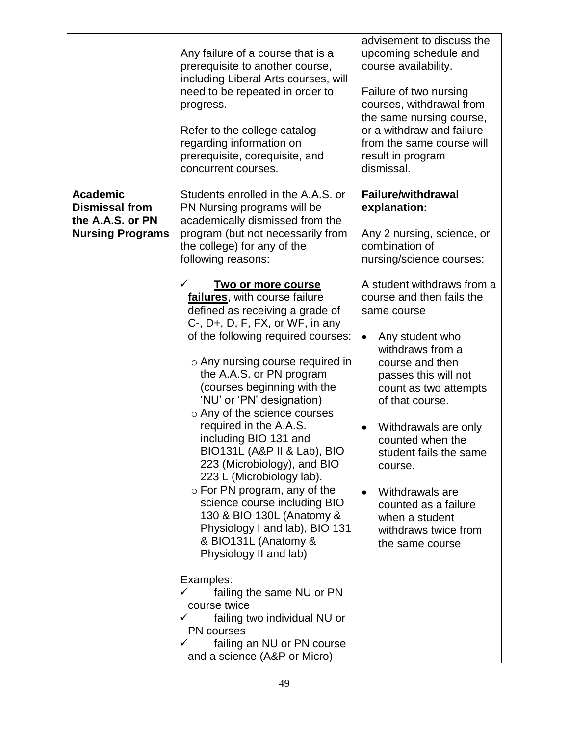|                                                                                         | Any failure of a course that is a<br>prerequisite to another course,<br>including Liberal Arts courses, will<br>need to be repeated in order to<br>progress.<br>Refer to the college catalog<br>regarding information on<br>prerequisite, corequisite, and<br>concurrent courses.                                                                                                                                                                                                                                                                                                                                                                                                               | advisement to discuss the<br>upcoming schedule and<br>course availability.<br>Failure of two nursing<br>courses, withdrawal from<br>the same nursing course,<br>or a withdraw and failure<br>from the same course will<br>result in program<br>dismissal.                                                                                                                                                  |
|-----------------------------------------------------------------------------------------|-------------------------------------------------------------------------------------------------------------------------------------------------------------------------------------------------------------------------------------------------------------------------------------------------------------------------------------------------------------------------------------------------------------------------------------------------------------------------------------------------------------------------------------------------------------------------------------------------------------------------------------------------------------------------------------------------|------------------------------------------------------------------------------------------------------------------------------------------------------------------------------------------------------------------------------------------------------------------------------------------------------------------------------------------------------------------------------------------------------------|
| <b>Academic</b><br><b>Dismissal from</b><br>the A.A.S. or PN<br><b>Nursing Programs</b> | Students enrolled in the A.A.S. or<br>PN Nursing programs will be<br>academically dismissed from the<br>program (but not necessarily from<br>the college) for any of the<br>following reasons:<br>✓                                                                                                                                                                                                                                                                                                                                                                                                                                                                                             | <b>Failure/withdrawal</b><br>explanation:<br>Any 2 nursing, science, or<br>combination of<br>nursing/science courses:                                                                                                                                                                                                                                                                                      |
|                                                                                         | <u>Two or more course</u><br>failures, with course failure<br>defined as receiving a grade of<br>$C$ -, $D$ +, $D$ , $F$ , $FX$ , or $WF$ , in any<br>of the following required courses:<br>$\circ$ Any nursing course required in<br>the A.A.S. or PN program<br>(courses beginning with the<br>'NU' or 'PN' designation)<br>○ Any of the science courses<br>required in the A.A.S.<br>including BIO 131 and<br>BIO131L (A&P II & Lab), BIO<br>223 (Microbiology), and BIO<br>223 L (Microbiology lab).<br>$\circ$ For PN program, any of the<br>science course including BIO<br>130 & BIO 130L (Anatomy &<br>Physiology I and lab), BIO 131<br>& BIO131L (Anatomy &<br>Physiology II and lab) | A student withdraws from a<br>course and then fails the<br>same course<br>Any student who<br>$\bullet$<br>withdraws from a<br>course and then<br>passes this will not<br>count as two attempts<br>of that course.<br>Withdrawals are only<br>counted when the<br>student fails the same<br>course.<br>Withdrawals are<br>counted as a failure<br>when a student<br>withdraws twice from<br>the same course |
|                                                                                         | Examples:<br>failing the same NU or PN<br>✓<br>course twice<br>failing two individual NU or<br>PN courses<br>failing an NU or PN course<br>✓<br>and a science (A&P or Micro)                                                                                                                                                                                                                                                                                                                                                                                                                                                                                                                    |                                                                                                                                                                                                                                                                                                                                                                                                            |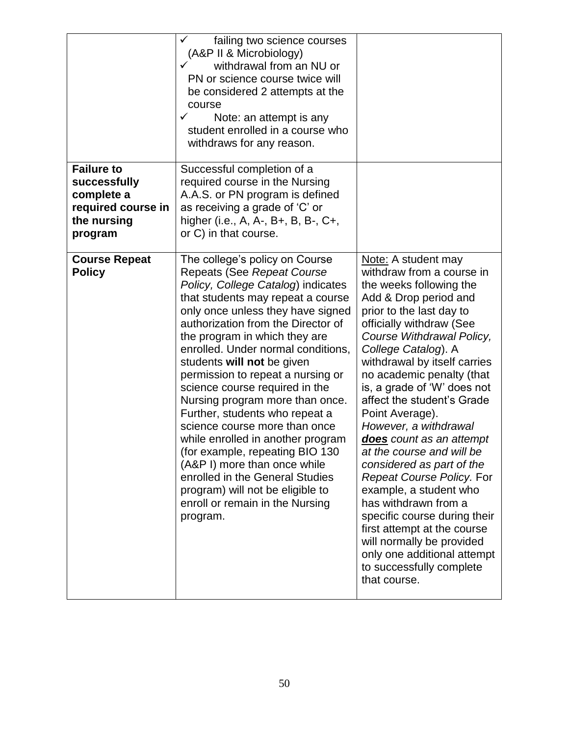|                                                                                                 | failing two science courses<br>(A&P II & Microbiology)<br>✓<br>withdrawal from an NU or<br>PN or science course twice will<br>be considered 2 attempts at the<br>course<br>✓<br>Note: an attempt is any<br>student enrolled in a course who<br>withdraws for any reason.                                                                                                                                                                                                                                                                                                                                                                                                                                                                  |                                                                                                                                                                                                                                                                                                                                                                                                                                                                                                                                                                                                                                                                                                                                    |
|-------------------------------------------------------------------------------------------------|-------------------------------------------------------------------------------------------------------------------------------------------------------------------------------------------------------------------------------------------------------------------------------------------------------------------------------------------------------------------------------------------------------------------------------------------------------------------------------------------------------------------------------------------------------------------------------------------------------------------------------------------------------------------------------------------------------------------------------------------|------------------------------------------------------------------------------------------------------------------------------------------------------------------------------------------------------------------------------------------------------------------------------------------------------------------------------------------------------------------------------------------------------------------------------------------------------------------------------------------------------------------------------------------------------------------------------------------------------------------------------------------------------------------------------------------------------------------------------------|
| <b>Failure to</b><br>successfully<br>complete a<br>required course in<br>the nursing<br>program | Successful completion of a<br>required course in the Nursing<br>A.A.S. or PN program is defined<br>as receiving a grade of 'C' or<br>higher (i.e., A, A-, B+, B, B-, C+,<br>or C) in that course.                                                                                                                                                                                                                                                                                                                                                                                                                                                                                                                                         |                                                                                                                                                                                                                                                                                                                                                                                                                                                                                                                                                                                                                                                                                                                                    |
| <b>Course Repeat</b><br><b>Policy</b>                                                           | The college's policy on Course<br><b>Repeats (See Repeat Course</b><br>Policy, College Catalog) indicates<br>that students may repeat a course<br>only once unless they have signed<br>authorization from the Director of<br>the program in which they are<br>enrolled. Under normal conditions,<br>students will not be given<br>permission to repeat a nursing or<br>science course required in the<br>Nursing program more than once.<br>Further, students who repeat a<br>science course more than once<br>while enrolled in another program<br>(for example, repeating BIO 130<br>(A&P I) more than once while<br>enrolled in the General Studies<br>program) will not be eligible to<br>enroll or remain in the Nursing<br>program. | Note: A student may<br>withdraw from a course in<br>the weeks following the<br>Add & Drop period and<br>prior to the last day to<br>officially withdraw (See<br>Course Withdrawal Policy,<br>College Catalog). A<br>withdrawal by itself carries<br>no academic penalty (that<br>is, a grade of 'W' does not<br>affect the student's Grade<br>Point Average).<br>However, a withdrawal<br>does count as an attempt<br>at the course and will be<br>considered as part of the<br>Repeat Course Policy. For<br>example, a student who<br>has withdrawn from a<br>specific course during their<br>first attempt at the course<br>will normally be provided<br>only one additional attempt<br>to successfully complete<br>that course. |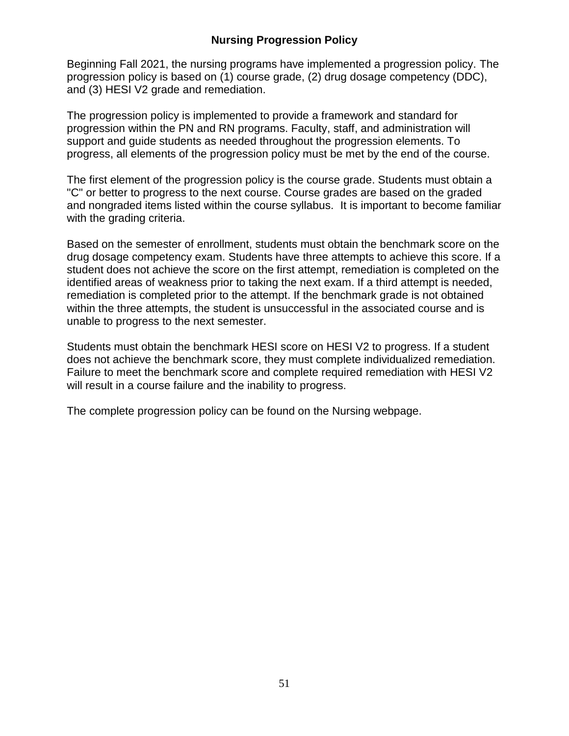## **Nursing Progression Policy**

<span id="page-50-0"></span>Beginning Fall 2021, the nursing programs have implemented a progression policy. The progression policy is based on (1) course grade, (2) drug dosage competency (DDC), and (3) HESI V2 grade and remediation.

The progression policy is implemented to provide a framework and standard for progression within the PN and RN programs. Faculty, staff, and administration will support and guide students as needed throughout the progression elements. To progress, all elements of the progression policy must be met by the end of the course.

The first element of the progression policy is the course grade. Students must obtain a "C" or better to progress to the next course. Course grades are based on the graded and nongraded items listed within the course syllabus. It is important to become familiar with the grading criteria.

Based on the semester of enrollment, students must obtain the benchmark score on the drug dosage competency exam. Students have three attempts to achieve this score. If a student does not achieve the score on the first attempt, remediation is completed on the identified areas of weakness prior to taking the next exam. If a third attempt is needed, remediation is completed prior to the attempt. If the benchmark grade is not obtained within the three attempts, the student is unsuccessful in the associated course and is unable to progress to the next semester.

Students must obtain the benchmark HESI score on HESI V2 to progress. If a student does not achieve the benchmark score, they must complete individualized remediation. Failure to meet the benchmark score and complete required remediation with HESI V2 will result in a course failure and the inability to progress.

The complete progression policy can be found on the Nursing webpage.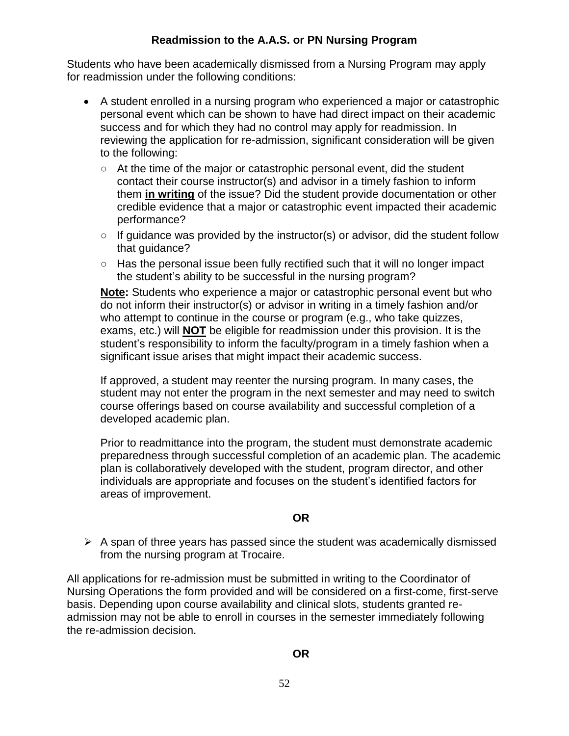## **Readmission to the A.A.S. or PN Nursing Program**

<span id="page-51-0"></span>Students who have been academically dismissed from a Nursing Program may apply for readmission under the following conditions:

- A student enrolled in a nursing program who experienced a major or catastrophic personal event which can be shown to have had direct impact on their academic success and for which they had no control may apply for readmission. In reviewing the application for re-admission, significant consideration will be given to the following:
	- At the time of the major or catastrophic personal event, did the student contact their course instructor(s) and advisor in a timely fashion to inform them **in writing** of the issue? Did the student provide documentation or other credible evidence that a major or catastrophic event impacted their academic performance?
	- If guidance was provided by the instructor(s) or advisor, did the student follow that guidance?
	- Has the personal issue been fully rectified such that it will no longer impact the student's ability to be successful in the nursing program?

**Note:** Students who experience a major or catastrophic personal event but who do not inform their instructor(s) or advisor in writing in a timely fashion and/or who attempt to continue in the course or program (e.g., who take quizzes, exams, etc.) will **NOT** be eligible for readmission under this provision. It is the student's responsibility to inform the faculty/program in a timely fashion when a significant issue arises that might impact their academic success.

If approved, a student may reenter the nursing program. In many cases, the student may not enter the program in the next semester and may need to switch course offerings based on course availability and successful completion of a developed academic plan.

Prior to readmittance into the program, the student must demonstrate academic preparedness through successful completion of an academic plan. The academic plan is collaboratively developed with the student, program director, and other individuals are appropriate and focuses on the student's identified factors for areas of improvement.

## **OR**

 $\triangleright$  A span of three years has passed since the student was academically dismissed from the nursing program at Trocaire.

All applications for re-admission must be submitted in writing to the Coordinator of Nursing Operations the form provided and will be considered on a first-come, first-serve basis. Depending upon course availability and clinical slots, students granted readmission may not be able to enroll in courses in the semester immediately following the re-admission decision.

## **OR**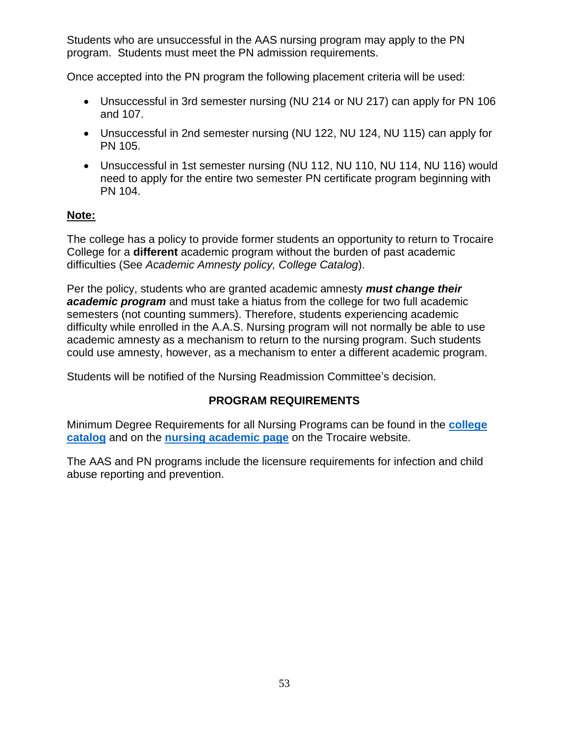Students who are unsuccessful in the AAS nursing program may apply to the PN program. Students must meet the PN admission requirements.

Once accepted into the PN program the following placement criteria will be used:

- Unsuccessful in 3rd semester nursing (NU 214 or NU 217) can apply for PN 106 and 107.
- Unsuccessful in 2nd semester nursing (NU 122, NU 124, NU 115) can apply for PN 105.
- Unsuccessful in 1st semester nursing (NU 112, NU 110, NU 114, NU 116) would need to apply for the entire two semester PN certificate program beginning with PN 104.

#### **Note:**

The college has a policy to provide former students an opportunity to return to Trocaire College for a **different** academic program without the burden of past academic difficulties (See *Academic Amnesty policy, College Catalog*).

Per the policy, students who are granted academic amnesty *must change their*  **academic program** and must take a hiatus from the college for two full academic semesters (not counting summers). Therefore, students experiencing academic difficulty while enrolled in the A.A.S. Nursing program will not normally be able to use academic amnesty as a mechanism to return to the nursing program. Such students could use amnesty, however, as a mechanism to enter a different academic program.

<span id="page-52-0"></span>Students will be notified of the Nursing Readmission Committee's decision.

## **PROGRAM REQUIREMENTS**

Minimum Degree Requirements for all Nursing Programs can be found in the **[college](https://trocaire.edu/academics/wp-content/uploads/sites/2/2021/09/2021-2022-Trocaire-College-Catalog-1.pdf)  [catalog](https://trocaire.edu/academics/wp-content/uploads/sites/2/2021/09/2021-2022-Trocaire-College-Catalog-1.pdf)** and on the **[nursing academic page](https://trocaire.edu/academic-program/nursing/)** on the Trocaire website.

The AAS and PN programs include the licensure requirements for infection and child abuse reporting and prevention.